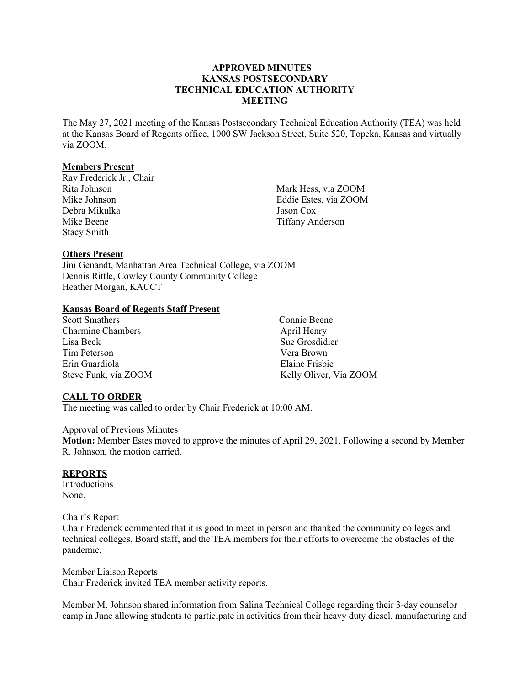#### **APPROVED MINUTES KANSAS POSTSECONDARY TECHNICAL EDUCATION AUTHORITY MEETING**

The May 27, 2021 meeting of the Kansas Postsecondary Technical Education Authority (TEA) was held at the Kansas Board of Regents office, 1000 SW Jackson Street, Suite 520, Topeka, Kansas and virtually via ZOOM.

#### **Members Present**

Ray Frederick Jr., Chair Rita Johnson Mike Johnson Debra Mikulka Mike Beene Stacy Smith

Mark Hess, via ZOOM Eddie Estes, via ZOOM Jason Cox Tiffany Anderson

## **Others Present**

Jim Genandt, Manhattan Area Technical College, via ZOOM Dennis Rittle, Cowley County Community College Heather Morgan, KACCT

#### **Kansas Board of Regents Staff Present**

| <b>Scott Smathers</b>    | Connie Beene           |
|--------------------------|------------------------|
| <b>Charmine Chambers</b> | April Henry            |
| Lisa Beck                | Sue Grosdidier         |
| Tim Peterson             | Vera Brown             |
| Erin Guardiola           | Elaine Frisbie         |
| Steve Funk, via ZOOM     | Kelly Oliver, Via ZOOM |

### **CALL TO ORDER**

The meeting was called to order by Chair Frederick at 10:00 AM.

#### Approval of Previous Minutes

**Motion:** Member Estes moved to approve the minutes of April 29, 2021. Following a second by Member R. Johnson, the motion carried.

### **REPORTS**

Introductions None.

Chair's Report Chair Frederick commented that it is good to meet in person and thanked the community colleges and technical colleges, Board staff, and the TEA members for their efforts to overcome the obstacles of the pandemic.

Member Liaison Reports Chair Frederick invited TEA member activity reports.

Member M. Johnson shared information from Salina Technical College regarding their 3-day counselor camp in June allowing students to participate in activities from their heavy duty diesel, manufacturing and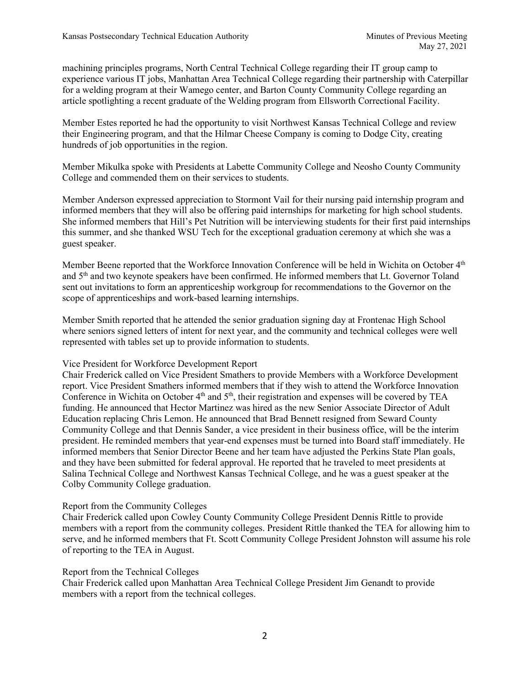machining principles programs, North Central Technical College regarding their IT group camp to experience various IT jobs, Manhattan Area Technical College regarding their partnership with Caterpillar for a welding program at their Wamego center, and Barton County Community College regarding an article spotlighting a recent graduate of the Welding program from Ellsworth Correctional Facility.

Member Estes reported he had the opportunity to visit Northwest Kansas Technical College and review their Engineering program, and that the Hilmar Cheese Company is coming to Dodge City, creating hundreds of job opportunities in the region.

Member Mikulka spoke with Presidents at Labette Community College and Neosho County Community College and commended them on their services to students.

Member Anderson expressed appreciation to Stormont Vail for their nursing paid internship program and informed members that they will also be offering paid internships for marketing for high school students. She informed members that Hill's Pet Nutrition will be interviewing students for their first paid internships this summer, and she thanked WSU Tech for the exceptional graduation ceremony at which she was a guest speaker.

Member Beene reported that the Workforce Innovation Conference will be held in Wichita on October 4<sup>th</sup> and 5<sup>th</sup> and two keynote speakers have been confirmed. He informed members that Lt. Governor Toland sent out invitations to form an apprenticeship workgroup for recommendations to the Governor on the scope of apprenticeships and work-based learning internships.

Member Smith reported that he attended the senior graduation signing day at Frontenac High School where seniors signed letters of intent for next year, and the community and technical colleges were well represented with tables set up to provide information to students.

### Vice President for Workforce Development Report

Chair Frederick called on Vice President Smathers to provide Members with a Workforce Development report. Vice President Smathers informed members that if they wish to attend the Workforce Innovation Conference in Wichita on October 4<sup>th</sup> and 5<sup>th</sup>, their registration and expenses will be covered by TEA funding. He announced that Hector Martinez was hired as the new Senior Associate Director of Adult Education replacing Chris Lemon. He announced that Brad Bennett resigned from Seward County Community College and that Dennis Sander, a vice president in their business office, will be the interim president. He reminded members that year-end expenses must be turned into Board staff immediately. He informed members that Senior Director Beene and her team have adjusted the Perkins State Plan goals, and they have been submitted for federal approval. He reported that he traveled to meet presidents at Salina Technical College and Northwest Kansas Technical College, and he was a guest speaker at the Colby Community College graduation.

### Report from the Community Colleges

Chair Frederick called upon Cowley County Community College President Dennis Rittle to provide members with a report from the community colleges. President Rittle thanked the TEA for allowing him to serve, and he informed members that Ft. Scott Community College President Johnston will assume his role of reporting to the TEA in August.

### Report from the Technical Colleges

Chair Frederick called upon Manhattan Area Technical College President Jim Genandt to provide members with a report from the technical colleges.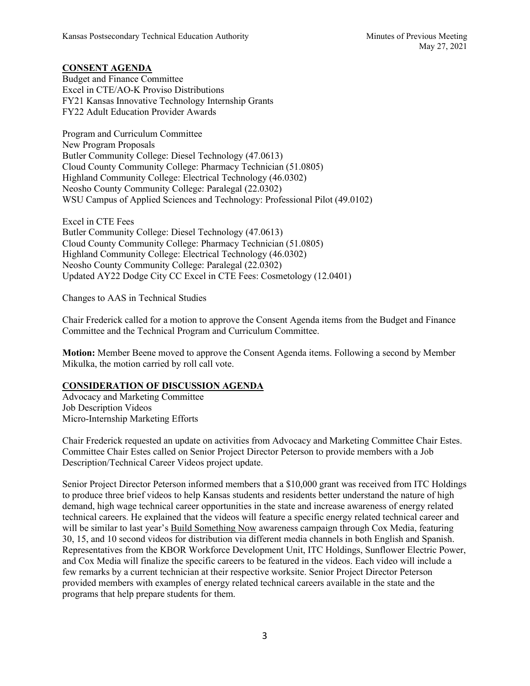### **CONSENT AGENDA**

Budget and Finance Committee Excel in CTE/AO-K Proviso Distributions FY21 Kansas Innovative Technology Internship Grants FY22 Adult Education Provider Awards

Program and Curriculum Committee New Program Proposals Butler Community College: Diesel Technology (47.0613) Cloud County Community College: Pharmacy Technician (51.0805) Highland Community College: Electrical Technology (46.0302) Neosho County Community College: Paralegal (22.0302) WSU Campus of Applied Sciences and Technology: Professional Pilot (49.0102)

Excel in CTE Fees Butler Community College: Diesel Technology (47.0613) Cloud County Community College: Pharmacy Technician (51.0805) Highland Community College: Electrical Technology (46.0302) Neosho County Community College: Paralegal (22.0302) Updated AY22 Dodge City CC Excel in CTE Fees: Cosmetology (12.0401)

Changes to AAS in Technical Studies

Chair Frederick called for a motion to approve the Consent Agenda items from the Budget and Finance Committee and the Technical Program and Curriculum Committee.

**Motion:** Member Beene moved to approve the Consent Agenda items. Following a second by Member Mikulka, the motion carried by roll call vote.

### **CONSIDERATION OF DISCUSSION AGENDA**

Advocacy and Marketing Committee Job Description Videos Micro-Internship Marketing Efforts

Chair Frederick requested an update on activities from Advocacy and Marketing Committee Chair Estes. Committee Chair Estes called on Senior Project Director Peterson to provide members with a Job Description/Technical Career Videos project update.

Senior Project Director Peterson informed members that a \$10,000 grant was received from ITC Holdings to produce three brief videos to help Kansas students and residents better understand the nature of high demand, high wage technical career opportunities in the state and increase awareness of energy related technical careers. He explained that the videos will feature a specific energy related technical career and will be similar to last year's Build Something Now awareness campaign through Cox Media, featuring 30, 15, and 10 second videos for distribution via different media channels in both English and Spanish. Representatives from the KBOR Workforce Development Unit, ITC Holdings, Sunflower Electric Power, and Cox Media will finalize the specific careers to be featured in the videos. Each video will include a few remarks by a current technician at their respective worksite. Senior Project Director Peterson provided members with examples of energy related technical careers available in the state and the programs that help prepare students for them.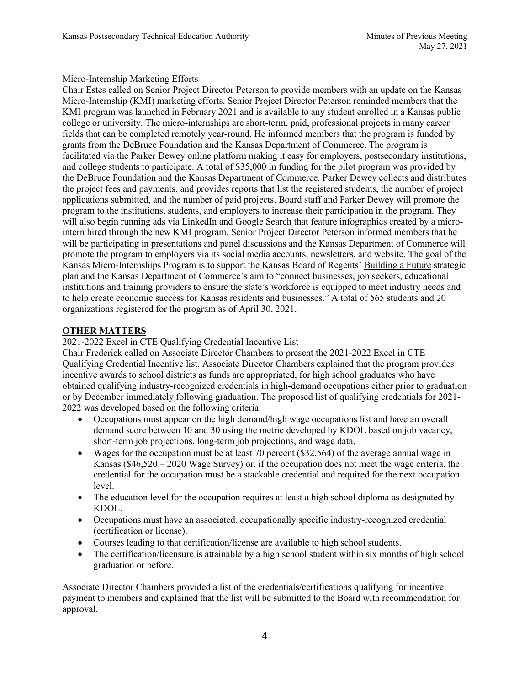### Micro-Internship Marketing Efforts

Chair Estes called on Senior Project Director Peterson to provide members with an update on the Kansas Micro-Internship (KMI) marketing efforts. Senior Project Director Peterson reminded members that the KMI program was launched in February 2021 and is available to any student enrolled in a Kansas public college or university. The micro-internships are short-term, paid, professional projects in many career fields that can be completed remotely year-round. He informed members that the program is funded by grants from the DeBruce Foundation and the Kansas Department of Commerce. The program is facilitated via the [Parker Dewey](https://www.parkerdewey.com/) online platform making it easy for employers, postsecondary institutions, and college students to participate. A total of \$35,000 in funding for the pilot program was provided by the DeBruce Foundation and the Kansas Department of Commerce. Parker Dewey collects and distributes the project fees and payments, and provides reports that list the registered students, the number of project applications submitted, and the number of paid projects. Board staff and Parker Dewey will promote the program to the institutions, students, and employers to increase their participation in the program. They will also begin running ads via LinkedIn and Google Search that feature infographics created by a microintern hired through the new KMI program. Senior Project Director Peterson informed members that he will be participating in presentations and panel discussions and the Kansas Department of Commerce will promote the program to employers via its social media accounts, newsletters, and website. The goal of the Kansas Micro-Internships Program is to support the Kansas Board of Regents[' Building a Future](https://www.kansasregents.org/about/building-a-future) strategic plan and the [Kansas Department of Commerce's](https://www.kansascommerce.gov/workforce/) aim to "connect businesses, job seekers, educational institutions and training providers to ensure the state's workforce is equipped to meet industry needs and to help create economic success for Kansas residents and businesses." A total of 565 students and 20 organizations registered for the program as of April 30, 2021.

## **OTHER MATTERS**

2021-2022 Excel in CTE Qualifying Credential Incentive List

Chair Frederick called on Associate Director Chambers to present the 2021-2022 Excel in CTE Qualifying Credential Incentive list. Associate Director Chambers explained that the program provides incentive awards to school districts as funds are appropriated, for high school graduates who have obtained qualifying industry-recognized credentials in high-demand occupations either prior to graduation or by December immediately following graduation. The proposed list of qualifying credentials for 2021- 2022 was developed based on the following criteria:

- Occupations must appear on the high demand/high wage occupations list and have an overall demand score between 10 and 30 using the metric developed by KDOL based on job vacancy, short-term job projections, long-term job projections, and wage data.
- Wages for the occupation must be at least 70 percent (\$32,564) of the average annual wage in Kansas (\$46,520 – 2020 Wage Survey) or, if the occupation does not meet the wage criteria, the credential for the occupation must be a stackable credential and required for the next occupation level.
- The education level for the occupation requires at least a high school diploma as designated by KDOL.
- Occupations must have an associated, occupationally specific industry-recognized credential (certification or license).
- Courses leading to that certification/license are available to high school students.
- The certification/licensure is attainable by a high school student within six months of high school graduation or before.

Associate Director Chambers provided a list of the credentials/certifications qualifying for incentive payment to members and explained that the list will be submitted to the Board with recommendation for approval.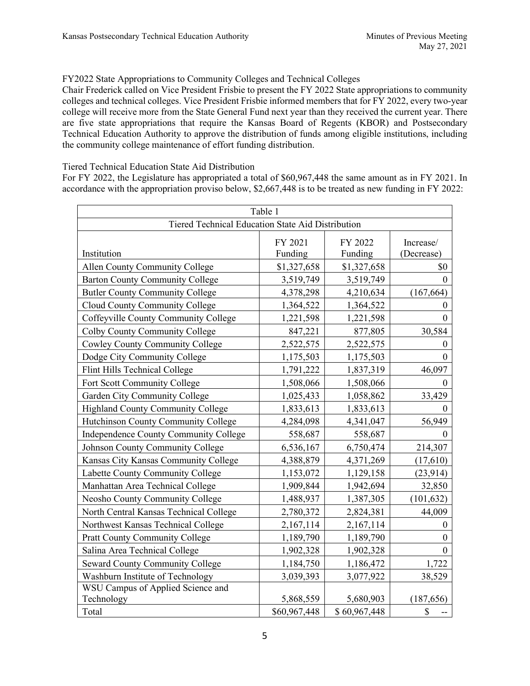### FY2022 State Appropriations to Community Colleges and Technical Colleges

Chair Frederick called on Vice President Frisbie to present the FY 2022 State appropriations to community colleges and technical colleges. Vice President Frisbie informed members that for FY 2022, every two-year college will receive more from the State General Fund next year than they received the current year. There are five state appropriations that require the Kansas Board of Regents (KBOR) and Postsecondary Technical Education Authority to approve the distribution of funds among eligible institutions, including the community college maintenance of effort funding distribution.

#### Tiered Technical Education State Aid Distribution

For FY 2022, the Legislature has appropriated a total of \$60,967,448 the same amount as in FY 2021. In accordance with the appropriation proviso below, \$2,667,448 is to be treated as new funding in FY 2022:

| Table 1                                           |                    |                    |                         |  |
|---------------------------------------------------|--------------------|--------------------|-------------------------|--|
| Tiered Technical Education State Aid Distribution |                    |                    |                         |  |
| Institution                                       | FY 2021<br>Funding | FY 2022<br>Funding | Increase/<br>(Decrease) |  |
| Allen County Community College                    | \$1,327,658        | \$1,327,658        | \$0                     |  |
| <b>Barton County Community College</b>            | 3,519,749          | 3,519,749          | $\theta$                |  |
| <b>Butler County Community College</b>            | 4,378,298          | 4,210,634          | (167, 664)              |  |
| Cloud County Community College                    | 1,364,522          | 1,364,522          | $\mathbf{0}$            |  |
| Coffeyville County Community College              | 1,221,598          | 1,221,598          | $\mathbf{0}$            |  |
| Colby County Community College                    | 847,221            | 877,805            | 30,584                  |  |
| <b>Cowley County Community College</b>            | 2,522,575          | 2,522,575          | 0                       |  |
| Dodge City Community College                      | 1,175,503          | 1,175,503          | $\mathbf{0}$            |  |
| Flint Hills Technical College                     | 1,791,222          | 1,837,319          | 46,097                  |  |
| Fort Scott Community College                      | 1,508,066          | 1,508,066          | $\boldsymbol{0}$        |  |
| Garden City Community College                     | 1,025,433          | 1,058,862          | 33,429                  |  |
| <b>Highland County Community College</b>          | 1,833,613          | 1,833,613          | $\theta$                |  |
| Hutchinson County Community College               | 4,284,098          | 4,341,047          | 56,949                  |  |
| Independence County Community College             | 558,687            | 558,687            | 0                       |  |
| Johnson County Community College                  | 6,536,167          | 6,750,474          | 214,307                 |  |
| Kansas City Kansas Community College              | 4,388,879          | 4,371,269          | (17,610)                |  |
| Labette County Community College                  | 1,153,072          | 1,129,158          | (23, 914)               |  |
| Manhattan Area Technical College                  | 1,909,844          | 1,942,694          | 32,850                  |  |
| <b>Neosho County Community College</b>            | 1,488,937          | 1,387,305          | (101, 632)              |  |
| North Central Kansas Technical College            | 2,780,372          | 2,824,381          | 44,009                  |  |
| Northwest Kansas Technical College                | 2,167,114          | 2,167,114          | $\boldsymbol{0}$        |  |
| <b>Pratt County Community College</b>             | 1,189,790          | 1,189,790          | $\boldsymbol{0}$        |  |
| Salina Area Technical College                     | 1,902,328          | 1,902,328          | $\mathbf{0}$            |  |
| <b>Seward County Community College</b>            | 1,184,750          | 1,186,472          | 1,722                   |  |
| Washburn Institute of Technology                  | 3,039,393          | 3,077,922          | 38,529                  |  |
| WSU Campus of Applied Science and                 |                    |                    |                         |  |
| Technology                                        | 5,868,559          | 5,680,903          | (187, 656)              |  |
| Total                                             | \$60,967,448       | \$60,967,448       | \$                      |  |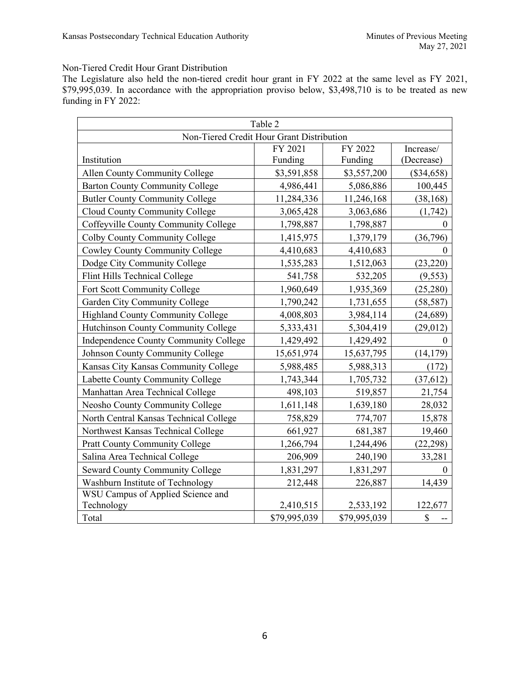### Non-Tiered Credit Hour Grant Distribution

The Legislature also held the non-tiered credit hour grant in FY 2022 at the same level as FY 2021, \$79,995,039. In accordance with the appropriation proviso below, \$3,498,710 is to be treated as new funding in FY 2022:

| Table 2                                   |                                 |              |              |  |  |  |
|-------------------------------------------|---------------------------------|--------------|--------------|--|--|--|
| Non-Tiered Credit Hour Grant Distribution |                                 |              |              |  |  |  |
|                                           | FY 2022<br>FY 2021<br>Increase/ |              |              |  |  |  |
| Institution                               | Funding                         | Funding      | (Decrease)   |  |  |  |
| Allen County Community College            | \$3,591,858                     | \$3,557,200  | $(\$34,658)$ |  |  |  |
| <b>Barton County Community College</b>    | 4,986,441                       | 5,086,886    | 100,445      |  |  |  |
| <b>Butler County Community College</b>    | 11,284,336                      | 11,246,168   | (38, 168)    |  |  |  |
| Cloud County Community College            | 3,065,428                       | 3,063,686    | (1,742)      |  |  |  |
| Coffeyville County Community College      | 1,798,887                       | 1,798,887    | $\mathbf{0}$ |  |  |  |
| Colby County Community College            | 1,415,975                       | 1,379,179    | (36,796)     |  |  |  |
| <b>Cowley County Community College</b>    | 4,410,683                       | 4,410,683    | $\Omega$     |  |  |  |
| Dodge City Community College              | 1,535,283                       | 1,512,063    | (23, 220)    |  |  |  |
| Flint Hills Technical College             | 541,758                         | 532,205      | (9, 553)     |  |  |  |
| Fort Scott Community College              | 1,960,649                       | 1,935,369    | (25, 280)    |  |  |  |
| Garden City Community College             | 1,790,242                       | 1,731,655    | (58, 587)    |  |  |  |
| <b>Highland County Community College</b>  | 4,008,803                       | 3,984,114    | (24, 689)    |  |  |  |
| Hutchinson County Community College       | 5,333,431                       | 5,304,419    | (29,012)     |  |  |  |
| Independence County Community College     | 1,429,492                       | 1,429,492    | $\theta$     |  |  |  |
| Johnson County Community College          | 15,651,974                      | 15,637,795   | (14, 179)    |  |  |  |
| Kansas City Kansas Community College      | 5,988,485                       | 5,988,313    | (172)        |  |  |  |
| Labette County Community College          | 1,743,344                       | 1,705,732    | (37, 612)    |  |  |  |
| Manhattan Area Technical College          | 498,103                         | 519,857      | 21,754       |  |  |  |
| Neosho County Community College           | 1,611,148                       | 1,639,180    | 28,032       |  |  |  |
| North Central Kansas Technical College    | 758,829                         | 774,707      | 15,878       |  |  |  |
| Northwest Kansas Technical College        | 661,927                         | 681,387      | 19,460       |  |  |  |
| <b>Pratt County Community College</b>     | 1,266,794                       | 1,244,496    | (22, 298)    |  |  |  |
| Salina Area Technical College             | 206,909                         | 240,190      | 33,281       |  |  |  |
| <b>Seward County Community College</b>    | 1,831,297                       | 1,831,297    | $\mathbf{0}$ |  |  |  |
| Washburn Institute of Technology          | 212,448                         | 226,887      | 14,439       |  |  |  |
| WSU Campus of Applied Science and         |                                 |              |              |  |  |  |
| Technology                                | 2,410,515                       | 2,533,192    | 122,677      |  |  |  |
| Total                                     | \$79,995,039                    | \$79,995,039 | \$           |  |  |  |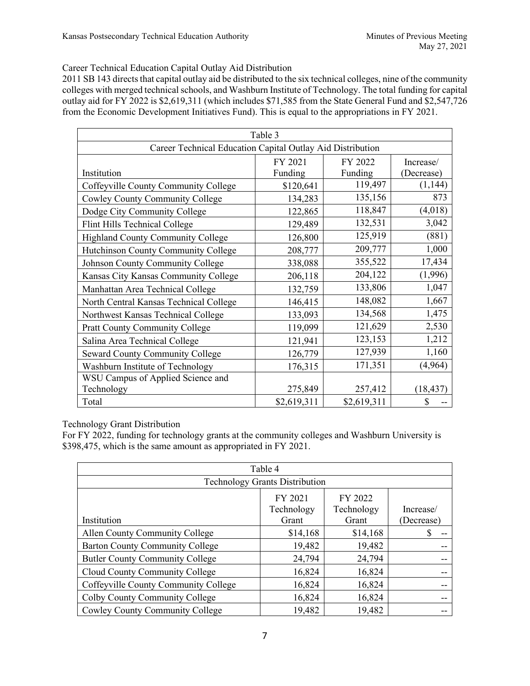### Career Technical Education Capital Outlay Aid Distribution

2011 SB 143 directs that capital outlay aid be distributed to the six technical colleges, nine of the community colleges with merged technical schools, and Washburn Institute of Technology. The total funding for capital outlay aid for FY 2022 is \$2,619,311 (which includes \$71,585 from the State General Fund and \$2,547,726 from the Economic Development Initiatives Fund). This is equal to the appropriations in FY 2021.

|                                                            | Table 3                                  |             |           |  |  |  |  |
|------------------------------------------------------------|------------------------------------------|-------------|-----------|--|--|--|--|
| Career Technical Education Capital Outlay Aid Distribution |                                          |             |           |  |  |  |  |
| Institution                                                | FY 2021<br>FY 2022<br>Funding<br>Funding |             |           |  |  |  |  |
| Coffeyville County Community College                       | \$120,641                                | 119,497     | (1,144)   |  |  |  |  |
| <b>Cowley County Community College</b>                     | 134,283                                  | 135,156     | 873       |  |  |  |  |
| Dodge City Community College                               | 122,865                                  | 118,847     | (4,018)   |  |  |  |  |
| Flint Hills Technical College                              | 129,489                                  | 132,531     | 3,042     |  |  |  |  |
| <b>Highland County Community College</b>                   | 126,800                                  | 125,919     | (881)     |  |  |  |  |
| Hutchinson County Community College                        | 208,777                                  | 209,777     | 1,000     |  |  |  |  |
| Johnson County Community College                           | 338,088                                  | 355,522     | 17,434    |  |  |  |  |
| Kansas City Kansas Community College                       | 206,118                                  | 204,122     | (1,996)   |  |  |  |  |
| Manhattan Area Technical College                           | 132,759                                  | 133,806     | 1,047     |  |  |  |  |
| North Central Kansas Technical College                     | 146,415                                  | 148,082     | 1,667     |  |  |  |  |
| Northwest Kansas Technical College                         | 133,093                                  | 134,568     | 1,475     |  |  |  |  |
| <b>Pratt County Community College</b>                      | 119,099                                  | 121,629     | 2,530     |  |  |  |  |
| Salina Area Technical College                              | 121,941                                  | 123,153     | 1,212     |  |  |  |  |
| <b>Seward County Community College</b>                     | 126,779                                  | 127,939     | 1,160     |  |  |  |  |
| Washburn Institute of Technology                           | 176,315                                  | 171,351     | (4,964)   |  |  |  |  |
| WSU Campus of Applied Science and                          |                                          |             |           |  |  |  |  |
| Technology                                                 | 275,849                                  | 257,412     | (18, 437) |  |  |  |  |
| Total                                                      | \$2,619,311                              | \$2,619,311 | \$        |  |  |  |  |

Technology Grant Distribution

For FY 2022, funding for technology grants at the community colleges and Washburn University is \$398,475, which is the same amount as appropriated in FY 2021.

| Table 4                                |                                       |                                |                         |  |
|----------------------------------------|---------------------------------------|--------------------------------|-------------------------|--|
|                                        | <b>Technology Grants Distribution</b> |                                |                         |  |
| Institution                            | FY 2021<br>Technology<br>Grant        | FY 2022<br>Technology<br>Grant | Increase/<br>(Decrease) |  |
| Allen County Community College         | \$14,168                              | \$14,168                       | S                       |  |
| <b>Barton County Community College</b> | 19,482                                | 19,482                         |                         |  |
| <b>Butler County Community College</b> | 24,794                                | 24,794                         |                         |  |
| Cloud County Community College         | 16,824                                | 16,824                         |                         |  |
| Coffeyville County Community College   | 16,824                                | 16,824                         |                         |  |
| Colby County Community College         | 16,824                                | 16,824                         |                         |  |
| <b>Cowley County Community College</b> | 19,482                                | 19,482                         |                         |  |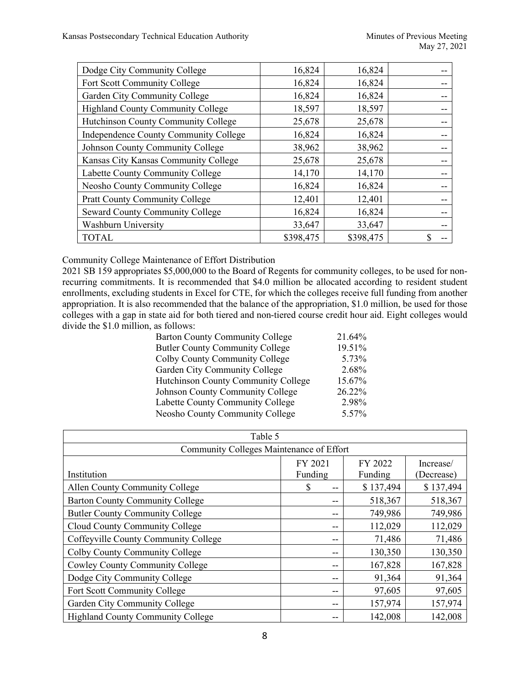| Dodge City Community College             | 16,824    | 16,824    |  |
|------------------------------------------|-----------|-----------|--|
| Fort Scott Community College             | 16,824    | 16,824    |  |
| Garden City Community College            | 16,824    | 16,824    |  |
| <b>Highland County Community College</b> | 18,597    | 18,597    |  |
| Hutchinson County Community College      | 25,678    | 25,678    |  |
| Independence County Community College    | 16,824    | 16,824    |  |
| Johnson County Community College         | 38,962    | 38,962    |  |
| Kansas City Kansas Community College     | 25,678    | 25,678    |  |
| Labette County Community College         | 14,170    | 14,170    |  |
| Neosho County Community College          | 16,824    | 16,824    |  |
| <b>Pratt County Community College</b>    | 12,401    | 12,401    |  |
| <b>Seward County Community College</b>   | 16,824    | 16,824    |  |
| <b>Washburn University</b>               | 33,647    | 33,647    |  |
| <b>TOTAL</b>                             | \$398,475 | \$398,475 |  |

Community College Maintenance of Effort Distribution

2021 SB 159 appropriates \$5,000,000 to the Board of Regents for community colleges, to be used for nonrecurring commitments. It is recommended that \$4.0 million be allocated according to resident student enrollments, excluding students in Excel for CTE, for which the colleges receive full funding from another appropriation. It is also recommended that the balance of the appropriation, \$1.0 million, be used for those colleges with a gap in state aid for both tiered and non-tiered course credit hour aid. Eight colleges would divide the \$1.0 million, as follows:

| <b>Barton County Community College</b>     | 21.64% |
|--------------------------------------------|--------|
| <b>Butler County Community College</b>     | 19.51% |
| Colby County Community College             | 5.73%  |
| Garden City Community College              | 2.68%  |
| <b>Hutchinson County Community College</b> | 15.67% |
| Johnson County Community College           | 26.22% |
| Labette County Community College           | 2.98%  |
| Neosho County Community College            | 5.57%  |

| Table 5                                  |         |           |            |  |  |
|------------------------------------------|---------|-----------|------------|--|--|
| Community Colleges Maintenance of Effort |         |           |            |  |  |
|                                          | FY 2021 | FY 2022   | Increase/  |  |  |
| Institution                              | Funding | Funding   | (Decrease) |  |  |
| Allen County Community College           | S<br>-- | \$137,494 | \$137,494  |  |  |
| <b>Barton County Community College</b>   | --      | 518,367   | 518,367    |  |  |
| <b>Butler County Community College</b>   | --      | 749,986   | 749,986    |  |  |
| Cloud County Community College           | --      | 112,029   | 112,029    |  |  |
| Coffeyville County Community College     | --      | 71,486    | 71,486     |  |  |
| Colby County Community College           | --      | 130,350   | 130,350    |  |  |
| <b>Cowley County Community College</b>   | --      | 167,828   | 167,828    |  |  |
| Dodge City Community College             | --      | 91,364    | 91,364     |  |  |
| Fort Scott Community College             | --      | 97,605    | 97,605     |  |  |
| Garden City Community College            | --      | 157,974   | 157,974    |  |  |
| <b>Highland County Community College</b> | --      | 142,008   | 142,008    |  |  |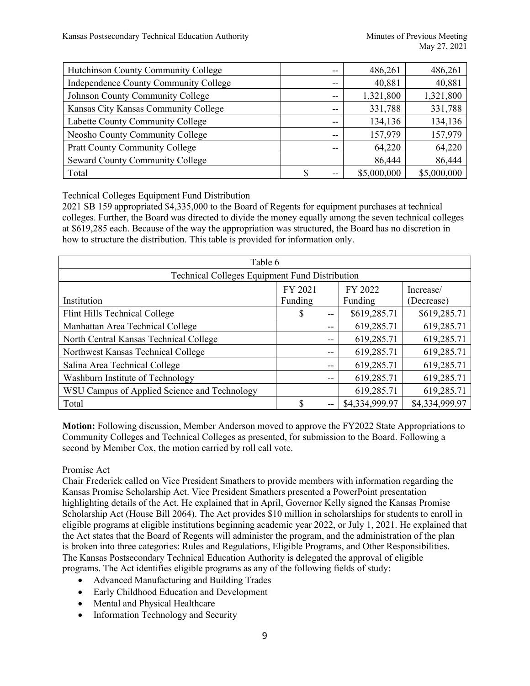| Hutchinson County Community College   | --  | 486,261     | 486,261     |
|---------------------------------------|-----|-------------|-------------|
| Independence County Community College | $-$ | 40,881      | 40,881      |
| Johnson County Community College      | --  | 1,321,800   | 1,321,800   |
| Kansas City Kansas Community College  | $-$ | 331,788     | 331,788     |
| Labette County Community College      | $-$ | 134,136     | 134,136     |
| Neosho County Community College       | $-$ | 157,979     | 157,979     |
| <b>Pratt County Community College</b> | $-$ | 64,220      | 64,220      |
| Seward County Community College       |     | 86,444      | 86,444      |
| Total                                 | $-$ | \$5,000,000 | \$5,000,000 |

Technical Colleges Equipment Fund Distribution

2021 SB 159 appropriated \$4,335,000 to the Board of Regents for equipment purchases at technical colleges. Further, the Board was directed to divide the money equally among the seven technical colleges at \$619,285 each. Because of the way the appropriation was structured, the Board has no discretion in how to structure the distribution. This table is provided for information only.

| Table 6                                        |         |    |                |                |  |
|------------------------------------------------|---------|----|----------------|----------------|--|
| Technical Colleges Equipment Fund Distribution |         |    |                |                |  |
| FY 2022<br>FY 2021<br>Increase/                |         |    |                |                |  |
| Institution                                    | Funding |    | Funding        | (Decrease)     |  |
| Flint Hills Technical College                  | S       | -- | \$619,285.71   | \$619,285.71   |  |
| Manhattan Area Technical College               |         | -- | 619,285.71     | 619,285.71     |  |
| North Central Kansas Technical College         |         | -- | 619,285.71     | 619,285.71     |  |
| Northwest Kansas Technical College             |         |    | 619,285.71     | 619,285.71     |  |
| Salina Area Technical College                  |         | -- | 619,285.71     | 619,285.71     |  |
| Washburn Institute of Technology               |         | -- | 619,285.71     | 619,285.71     |  |
| WSU Campus of Applied Science and Technology   |         |    | 619,285.71     | 619,285.71     |  |
| Total                                          | S       |    | \$4,334,999.97 | \$4,334,999.97 |  |

**Motion:** Following discussion, Member Anderson moved to approve the FY2022 State Appropriations to Community Colleges and Technical Colleges as presented, for submission to the Board. Following a second by Member Cox, the motion carried by roll call vote.

## Promise Act

Chair Frederick called on Vice President Smathers to provide members with information regarding the Kansas Promise Scholarship Act. Vice President Smathers presented a PowerPoint presentation highlighting details of the Act. He explained that in April, Governor Kelly signed the Kansas Promise Scholarship Act [\(House Bill 2064\)](http://www.kslegislature.org/li/b2021_22/measures/documents/hb2064_enrolled.pdf). The Act provides \$10 million in scholarships for students to enroll in eligible programs at eligible institutions beginning academic year 2022, or July 1, 2021. He explained that the Act states that the Board of Regents will administer the program, and the administration of the plan is broken into three categories: Rules and Regulations, Eligible Programs, and Other Responsibilities. The Kansas Postsecondary Technical Education Authority is delegated the approval of eligible programs. The Act identifies eligible programs as any of the following fields of study:

- Advanced Manufacturing and Building Trades
- Early Childhood Education and Development
- Mental and Physical Healthcare
- Information Technology and Security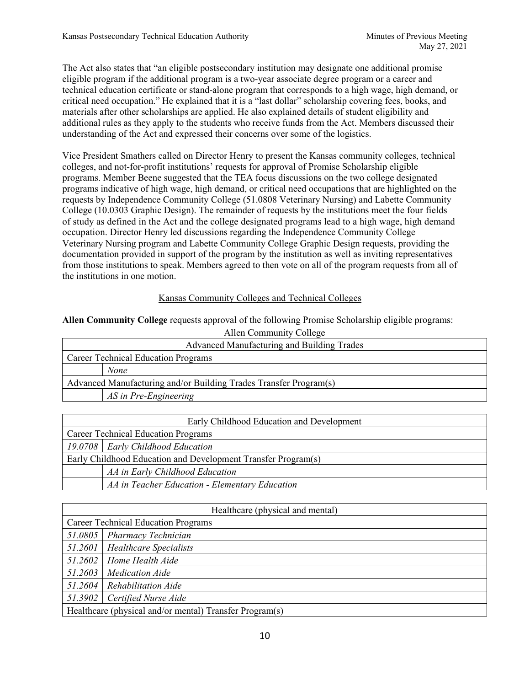The Act also states that "an eligible postsecondary institution may designate one additional promise eligible program if the additional program is a two-year associate degree program or a career and technical education certificate or stand-alone program that corresponds to a high wage, high demand, or critical need occupation." He explained that it is a "last dollar" scholarship covering fees, books, and materials after other scholarships are applied. He also explained details of student eligibility and additional rules as they apply to the students who receive funds from the Act. Members discussed their understanding of the Act and expressed their concerns over some of the logistics.

Vice President Smathers called on Director Henry to present the Kansas community colleges, technical colleges, and not-for-profit institutions' requests for approval of Promise Scholarship eligible programs. Member Beene suggested that the TEA focus discussions on the two college designated programs indicative of high wage, high demand, or critical need occupations that are highlighted on the requests by Independence Community College (51.0808 Veterinary Nursing) and Labette Community College (10.0303 Graphic Design). The remainder of requests by the institutions meet the four fields of study as defined in the Act and the college designated programs lead to a high wage, high demand occupation. Director Henry led discussions regarding the Independence Community College Veterinary Nursing program and Labette Community College Graphic Design requests, providing the documentation provided in support of the program by the institution as well as inviting representatives from those institutions to speak. Members agreed to then vote on all of the program requests from all of the institutions in one motion.

## Kansas Community Colleges and Technical Colleges

**Allen Community College** requests approval of the following Promise Scholarship eligible programs:

| Allen Community College                                           |  |  |
|-------------------------------------------------------------------|--|--|
| Advanced Manufacturing and Building Trades                        |  |  |
| <b>Career Technical Education Programs</b>                        |  |  |
| <b>None</b>                                                       |  |  |
| Advanced Manufacturing and/or Building Trades Transfer Program(s) |  |  |
| AS in Pre-Engineering                                             |  |  |

| Early Childhood Education and Development                     |  |
|---------------------------------------------------------------|--|
| <b>Career Technical Education Programs</b>                    |  |
| 19.0708   Early Childhood Education                           |  |
| Early Childhood Education and Development Transfer Program(s) |  |
| AA in Early Childhood Education                               |  |
| AA in Teacher Education - Elementary Education                |  |

| Healthcare (physical and mental)                        |                               |  |
|---------------------------------------------------------|-------------------------------|--|
| <b>Career Technical Education Programs</b>              |                               |  |
| 51.0805                                                 | Pharmacy Technician           |  |
| 51.2601                                                 | <b>Healthcare Specialists</b> |  |
| 51.2602                                                 | Home Health Aide              |  |
| 51.2603                                                 | <b>Medication Aide</b>        |  |
| 51.2604                                                 | Rehabilitation Aide           |  |
|                                                         | 51.3902 Certified Nurse Aide  |  |
| Healthcare (physical and/or mental) Transfer Program(s) |                               |  |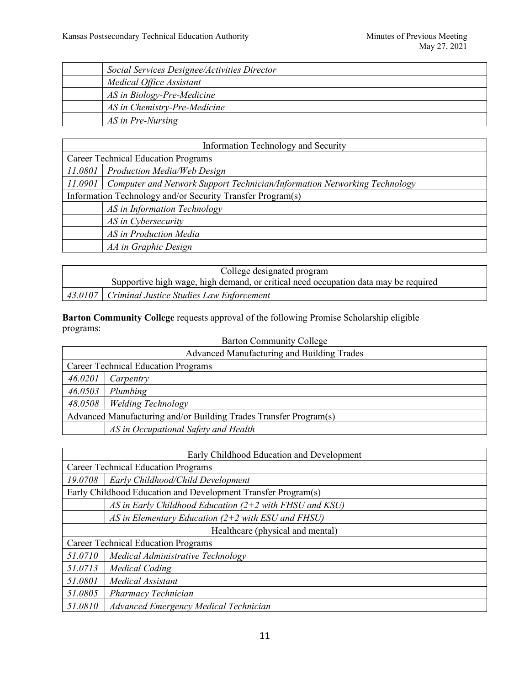| Social Services Designee/Activities Director |
|----------------------------------------------|
| Medical Office Assistant                     |
| AS in Biology-Pre-Medicine                   |
| AS in Chemistry-Pre-Medicine                 |
| AS in Pre-Nursing                            |

| <b>Information Technology and Security</b>                 |                                                                           |  |
|------------------------------------------------------------|---------------------------------------------------------------------------|--|
| <b>Career Technical Education Programs</b>                 |                                                                           |  |
| 11.0801                                                    | Production Media/Web Design                                               |  |
| 11.0901                                                    | Computer and Network Support Technician/Information Networking Technology |  |
| Information Technology and/or Security Transfer Program(s) |                                                                           |  |
|                                                            | AS in Information Technology                                              |  |
|                                                            | AS in Cybersecurity                                                       |  |
|                                                            | AS in Production Media                                                    |  |
|                                                            | AA in Graphic Design                                                      |  |

| College designated program                                                          |  |
|-------------------------------------------------------------------------------------|--|
| Supportive high wage, high demand, or critical need occupation data may be required |  |
| 43.0107   Criminal Justice Studies Law Enforcement                                  |  |

**Barton Community College** requests approval of the following Promise Scholarship eligible programs:

| <b>Barton Community College</b> |  |  |  |
|---------------------------------|--|--|--|
|---------------------------------|--|--|--|

| Advanced Manufacturing and Building Trades                        |                                      |  |
|-------------------------------------------------------------------|--------------------------------------|--|
| <b>Career Technical Education Programs</b>                        |                                      |  |
| 46.0201                                                           | Carpentry                            |  |
| 46.0503                                                           | Plumbing                             |  |
| 48.0508                                                           | <b>Welding Technology</b>            |  |
| Advanced Manufacturing and/or Building Trades Transfer Program(s) |                                      |  |
|                                                                   | AS in Occupational Safety and Health |  |

| Early Childhood Education and Development                     |                                                           |  |
|---------------------------------------------------------------|-----------------------------------------------------------|--|
| <b>Career Technical Education Programs</b>                    |                                                           |  |
| 19.0708                                                       | Early Childhood/Child Development                         |  |
| Early Childhood Education and Development Transfer Program(s) |                                                           |  |
|                                                               | AS in Early Childhood Education $(2+2$ with FHSU and KSU) |  |
|                                                               | AS in Elementary Education $(2+2$ with ESU and FHSU)      |  |
| Healthcare (physical and mental)                              |                                                           |  |
| <b>Career Technical Education Programs</b>                    |                                                           |  |
| 51.0710                                                       | Medical Administrative Technology                         |  |
| 51.0713                                                       | <b>Medical Coding</b>                                     |  |
| 51.0801                                                       | Medical Assistant                                         |  |
| 51.0805                                                       | Pharmacy Technician                                       |  |
| 51.0810                                                       | Advanced Emergency Medical Technician                     |  |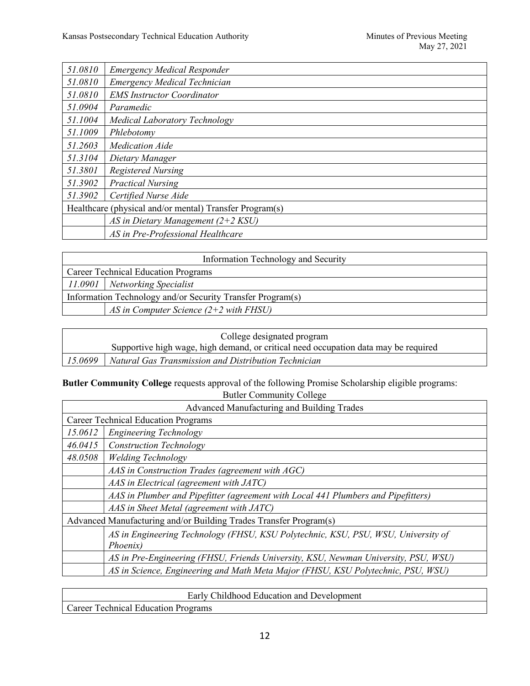| 51.0810 | <b>Emergency Medical Responder</b>                      |
|---------|---------------------------------------------------------|
| 51.0810 | Emergency Medical Technician                            |
| 51.0810 | <b>EMS Instructor Coordinator</b>                       |
| 51.0904 | Paramedic                                               |
| 51.1004 | <b>Medical Laboratory Technology</b>                    |
| 51.1009 | Phlebotomy                                              |
| 51.2603 | <b>Medication Aide</b>                                  |
| 51.3104 | Dietary Manager                                         |
| 51.3801 | <b>Registered Nursing</b>                               |
| 51.3902 | <b>Practical Nursing</b>                                |
| 51.3902 | Certified Nurse Aide                                    |
|         | Healthcare (physical and/or mental) Transfer Program(s) |
|         | AS in Dietary Management $(2+2$ KSU)                    |
|         | AS in Pre-Professional Healthcare                       |

| Information Technology and Security                        |                                          |  |
|------------------------------------------------------------|------------------------------------------|--|
| <b>Career Technical Education Programs</b>                 |                                          |  |
|                                                            | 11.0901   Networking Specialist          |  |
| Information Technology and/or Security Transfer Program(s) |                                          |  |
|                                                            | AS in Computer Science $(2+2$ with FHSU) |  |

| College designated program |                                                                                     |
|----------------------------|-------------------------------------------------------------------------------------|
|                            | Supportive high wage, high demand, or critical need occupation data may be required |
| 15.0699                    | Natural Gas Transmission and Distribution Technician                                |

# **Butler Community College** requests approval of the following Promise Scholarship eligible programs: Butler Community College

| Advanced Manufacturing and Building Trades                        |                                                                                    |  |
|-------------------------------------------------------------------|------------------------------------------------------------------------------------|--|
|                                                                   | <b>Career Technical Education Programs</b>                                         |  |
| 15.0612                                                           | Engineering Technology                                                             |  |
| 46.0415                                                           | <b>Construction Technology</b>                                                     |  |
| 48.0508                                                           | <b>Welding Technology</b>                                                          |  |
|                                                                   | AAS in Construction Trades (agreement with AGC)                                    |  |
|                                                                   | AAS in Electrical (agreement with JATC)                                            |  |
|                                                                   | AAS in Plumber and Pipefitter (agreement with Local 441 Plumbers and Pipefitters)  |  |
|                                                                   | AAS in Sheet Metal (agreement with JATC)                                           |  |
| Advanced Manufacturing and/or Building Trades Transfer Program(s) |                                                                                    |  |
|                                                                   | AS in Engineering Technology (FHSU, KSU Polytechnic, KSU, PSU, WSU, University of  |  |
|                                                                   | Phoenix)                                                                           |  |
|                                                                   | AS in Pre-Engineering (FHSU, Friends University, KSU, Newman University, PSU, WSU) |  |
|                                                                   | AS in Science, Engineering and Math Meta Major (FHSU, KSU Polytechnic, PSU, WSU)   |  |

| Early Childhood Education and Development |  |
|-------------------------------------------|--|
| Career Technical Education Programs       |  |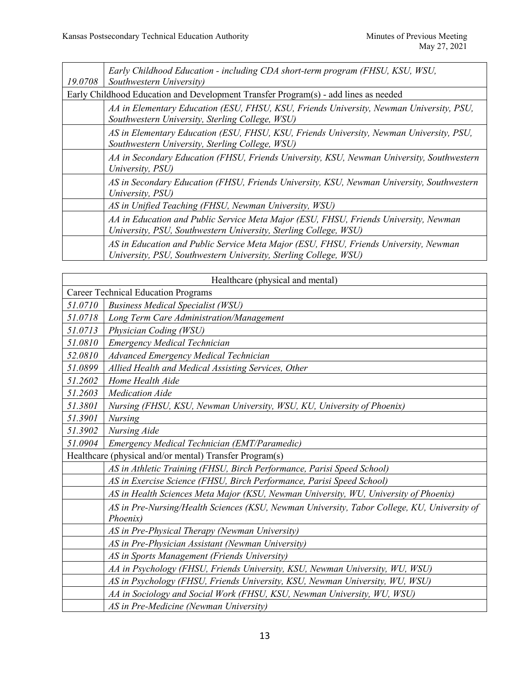| 19.0708 | Early Childhood Education - including CDA short-term program (FHSU, KSU, WSU,<br>Southwestern University)                                                |
|---------|----------------------------------------------------------------------------------------------------------------------------------------------------------|
|         | Early Childhood Education and Development Transfer Program(s) - add lines as needed                                                                      |
|         | AA in Elementary Education (ESU, FHSU, KSU, Friends University, Newman University, PSU,<br>Southwestern University, Sterling College, WSU)               |
|         | AS in Elementary Education (ESU, FHSU, KSU, Friends University, Newman University, PSU,<br>Southwestern University, Sterling College, WSU)               |
|         | AA in Secondary Education (FHSU, Friends University, KSU, Newman University, Southwestern<br>University, PSU)                                            |
|         | AS in Secondary Education (FHSU, Friends University, KSU, Newman University, Southwestern<br>University, PSU)                                            |
|         | AS in Unified Teaching (FHSU, Newman University, WSU)                                                                                                    |
|         | AA in Education and Public Service Meta Major (ESU, FHSU, Friends University, Newman<br>University, PSU, Southwestern University, Sterling College, WSU) |
|         | AS in Education and Public Service Meta Major (ESU, FHSU, Friends University, Newman<br>University, PSU, Southwestern University, Sterling College, WSU) |

|                                                         | Healthcare (physical and mental)                                                                        |  |
|---------------------------------------------------------|---------------------------------------------------------------------------------------------------------|--|
| <b>Career Technical Education Programs</b>              |                                                                                                         |  |
| 51.0710                                                 | <b>Business Medical Specialist (WSU)</b>                                                                |  |
| 51.0718                                                 | Long Term Care Administration/Management                                                                |  |
| 51.0713                                                 | Physician Coding (WSU)                                                                                  |  |
| 51.0810                                                 | Emergency Medical Technician                                                                            |  |
| 52.0810                                                 | Advanced Emergency Medical Technician                                                                   |  |
| 51.0899                                                 | Allied Health and Medical Assisting Services, Other                                                     |  |
| 51.2602                                                 | Home Health Aide                                                                                        |  |
| 51.2603                                                 | <b>Medication Aide</b>                                                                                  |  |
| 51.3801                                                 | Nursing (FHSU, KSU, Newman University, WSU, KU, University of Phoenix)                                  |  |
| 51.3901                                                 | <b>Nursing</b>                                                                                          |  |
| 51.3902                                                 | Nursing Aide                                                                                            |  |
| 51.0904                                                 | Emergency Medical Technician (EMT/Paramedic)                                                            |  |
| Healthcare (physical and/or mental) Transfer Program(s) |                                                                                                         |  |
|                                                         | AS in Athletic Training (FHSU, Birch Performance, Parisi Speed School)                                  |  |
|                                                         | AS in Exercise Science (FHSU, Birch Performance, Parisi Speed School)                                   |  |
|                                                         | AS in Health Sciences Meta Major (KSU, Newman University, WU, University of Phoenix)                    |  |
|                                                         | AS in Pre-Nursing/Health Sciences (KSU, Newman University, Tabor College, KU, University of<br>Phoenix) |  |
|                                                         | AS in Pre-Physical Therapy (Newman University)                                                          |  |
|                                                         | AS in Pre-Physician Assistant (Newman University)                                                       |  |
|                                                         | AS in Sports Management (Friends University)                                                            |  |
|                                                         | AA in Psychology (FHSU, Friends University, KSU, Newman University, WU, WSU)                            |  |
|                                                         | AS in Psychology (FHSU, Friends University, KSU, Newman University, WU, WSU)                            |  |
|                                                         | AA in Sociology and Social Work (FHSU, KSU, Newman University, WU, WSU)                                 |  |
|                                                         | AS in Pre-Medicine (Newman University)                                                                  |  |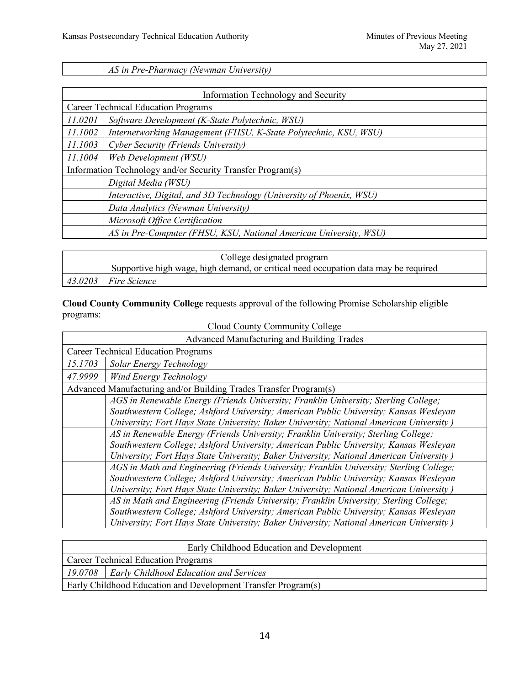*AS in Pre-Pharmacy (Newman University)*

| Information Technology and Security                        |                                                                      |  |
|------------------------------------------------------------|----------------------------------------------------------------------|--|
|                                                            | <b>Career Technical Education Programs</b>                           |  |
| 11.0201                                                    | Software Development (K-State Polytechnic, WSU)                      |  |
| 11.1002                                                    | Internetworking Management (FHSU, K-State Polytechnic, KSU, WSU)     |  |
| 11.1003                                                    | Cyber Security (Friends University)                                  |  |
| 11.1004                                                    | Web Development (WSU)                                                |  |
| Information Technology and/or Security Transfer Program(s) |                                                                      |  |
|                                                            | Digital Media (WSU)                                                  |  |
|                                                            | Interactive, Digital, and 3D Technology (University of Phoenix, WSU) |  |
|                                                            | Data Analytics (Newman University)                                   |  |
|                                                            | Microsoft Office Certification                                       |  |
|                                                            | AS in Pre-Computer (FHSU, KSU, National American University, WSU)    |  |

| College designated program |                                                                                     |
|----------------------------|-------------------------------------------------------------------------------------|
|                            | Supportive high wage, high demand, or critical need occupation data may be required |
| $43.0203$ Fire Science     |                                                                                     |

**Cloud County Community College** requests approval of the following Promise Scholarship eligible programs:

| Cloud County Community College             |                                                                                         |
|--------------------------------------------|-----------------------------------------------------------------------------------------|
| Advanced Manufacturing and Building Trades |                                                                                         |
|                                            | <b>Career Technical Education Programs</b>                                              |
| 15.1703                                    | Solar Energy Technology                                                                 |
| 47.9999                                    | <b>Wind Energy Technology</b>                                                           |
|                                            | Advanced Manufacturing and/or Building Trades Transfer Program(s)                       |
|                                            | AGS in Renewable Energy (Friends University; Franklin University; Sterling College;     |
|                                            | Southwestern College; Ashford University; American Public University; Kansas Wesleyan   |
|                                            | University; Fort Hays State University; Baker University; National American University) |
|                                            | AS in Renewable Energy (Friends University; Franklin University; Sterling College;      |
|                                            | Southwestern College; Ashford University; American Public University; Kansas Wesleyan   |
|                                            | University; Fort Hays State University; Baker University; National American University) |
|                                            | AGS in Math and Engineering (Friends University; Franklin University; Sterling College; |
|                                            | Southwestern College; Ashford University; American Public University; Kansas Wesleyan   |
|                                            | University; Fort Hays State University; Baker University; National American University) |
|                                            | AS in Math and Engineering (Friends University; Franklin University; Sterling College;  |
|                                            | Southwestern College; Ashford University; American Public University; Kansas Wesleyan   |
|                                            | University; Fort Hays State University; Baker University; National American University) |

|                                                               | Early Childhood Education and Development        |
|---------------------------------------------------------------|--------------------------------------------------|
|                                                               | <b>Career Technical Education Programs</b>       |
|                                                               | 19.0708   Early Childhood Education and Services |
| Early Childhood Education and Development Transfer Program(s) |                                                  |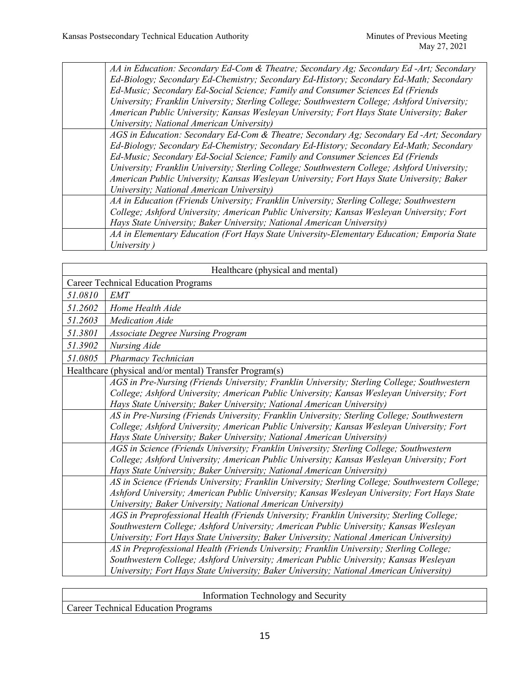*AA in Education: Secondary Ed-Com & Theatre; Secondary Ag; Secondary Ed -Art; Secondary Ed-Biology; Secondary Ed-Chemistry; Secondary Ed-History; Secondary Ed-Math; Secondary Ed-Music; Secondary Ed-Social Science; Family and Consumer Sciences Ed (Friends University; Franklin University; Sterling College; Southwestern College; Ashford University; American Public University; Kansas Wesleyan University; Fort Hays State University; Baker University; National American University) AGS in Education: Secondary Ed-Com & Theatre; Secondary Ag; Secondary Ed -Art; Secondary Ed-Biology; Secondary Ed-Chemistry; Secondary Ed-History; Secondary Ed-Math; Secondary Ed-Music; Secondary Ed-Social Science; Family and Consumer Sciences Ed (Friends University; Franklin University; Sterling College; Southwestern College; Ashford University; American Public University; Kansas Wesleyan University; Fort Hays State University; Baker University; National American University) AA in Education (Friends University; Franklin University; Sterling College; Southwestern College; Ashford University; American Public University; Kansas Wesleyan University; Fort Hays State University; Baker University; National American University) AA in Elementary Education (Fort Hays State University-Elementary Education; Emporia State University )*

| Healthcare (physical and mental)                        |                                                                                                 |
|---------------------------------------------------------|-------------------------------------------------------------------------------------------------|
|                                                         | <b>Career Technical Education Programs</b>                                                      |
| 51.0810                                                 | <b>EMT</b>                                                                                      |
| 51.2602                                                 | Home Health Aide                                                                                |
| 51.2603                                                 | <i>Medication Aide</i>                                                                          |
| 51.3801                                                 | <b>Associate Degree Nursing Program</b>                                                         |
| 51.3902                                                 | Nursing Aide                                                                                    |
| 51.0805                                                 | Pharmacy Technician                                                                             |
| Healthcare (physical and/or mental) Transfer Program(s) |                                                                                                 |
|                                                         | AGS in Pre-Nursing (Friends University; Franklin University; Sterling College; Southwestern     |
|                                                         | College; Ashford University; American Public University; Kansas Wesleyan University; Fort       |
|                                                         | Hays State University; Baker University; National American University)                          |
|                                                         | AS in Pre-Nursing (Friends University; Franklin University; Sterling College; Southwestern      |
|                                                         | College; Ashford University; American Public University; Kansas Wesleyan University; Fort       |
|                                                         | Hays State University; Baker University; National American University)                          |
|                                                         | AGS in Science (Friends University; Franklin University; Sterling College; Southwestern         |
|                                                         | College; Ashford University; American Public University; Kansas Wesleyan University; Fort       |
|                                                         | Hays State University; Baker University; National American University)                          |
|                                                         | AS in Science (Friends University; Franklin University; Sterling College; Southwestern College; |
|                                                         | Ashford University; American Public University; Kansas Wesleyan University; Fort Hays State     |
|                                                         | University; Baker University; National American University)                                     |
|                                                         | AGS in Preprofessional Health (Friends University; Franklin University; Sterling College;       |
|                                                         | Southwestern College; Ashford University; American Public University; Kansas Wesleyan           |
|                                                         | University; Fort Hays State University; Baker University; National American University)         |
|                                                         | AS in Preprofessional Health (Friends University; Franklin University; Sterling College;        |
|                                                         | Southwestern College; Ashford University; American Public University; Kansas Wesleyan           |
|                                                         | University; Fort Hays State University; Baker University; National American University)         |
|                                                         |                                                                                                 |

Information Technology and Security

Career Technical Education Programs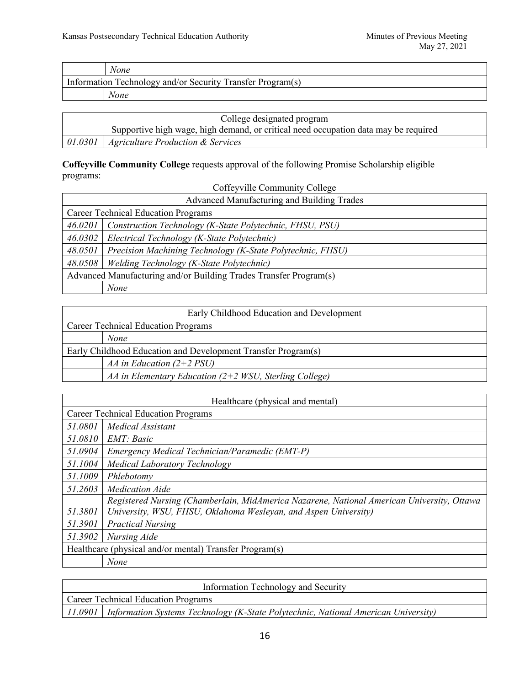| None                                                       |
|------------------------------------------------------------|
| Information Technology and/or Security Transfer Program(s) |
| None                                                       |

| College designated program                                                          |
|-------------------------------------------------------------------------------------|
| Supportive high wage, high demand, or critical need occupation data may be required |
| $\vert$ 01.0301   Agriculture Production & Services                                 |

# **Coffeyville Community College** requests approval of the following Promise Scholarship eligible programs:

Coffeyville Community College

| Advanced Manufacturing and Building Trades                        |                                                            |
|-------------------------------------------------------------------|------------------------------------------------------------|
| <b>Career Technical Education Programs</b>                        |                                                            |
| 46.0201                                                           | Construction Technology (K-State Polytechnic, FHSU, PSU)   |
| 46.0302                                                           | Electrical Technology (K-State Polytechnic)                |
| 48.0501                                                           | Precision Machining Technology (K-State Polytechnic, FHSU) |
| 48.0508                                                           | Welding Technology (K-State Polytechnic)                   |
| Advanced Manufacturing and/or Building Trades Transfer Program(s) |                                                            |
|                                                                   | None                                                       |

|                                                               | Early Childhood Education and Development                |
|---------------------------------------------------------------|----------------------------------------------------------|
| <b>Career Technical Education Programs</b>                    |                                                          |
|                                                               | <b>None</b>                                              |
| Early Childhood Education and Development Transfer Program(s) |                                                          |
|                                                               | AA in Education $(2+2$ PSU)                              |
|                                                               | AA in Elementary Education $(2+2$ WSU, Sterling College) |

| Healthcare (physical and mental)                        |                                                                                            |  |
|---------------------------------------------------------|--------------------------------------------------------------------------------------------|--|
|                                                         | <b>Career Technical Education Programs</b>                                                 |  |
| 51.0801                                                 | Medical Assistant                                                                          |  |
| 51.0810                                                 | EMT: Basic                                                                                 |  |
| 51.0904                                                 | Emergency Medical Technician/Paramedic (EMT-P)                                             |  |
| 51.1004                                                 | Medical Laboratory Technology                                                              |  |
| 51.1009                                                 | Phlebotomy                                                                                 |  |
| 51.2603                                                 | <b>Medication Aide</b>                                                                     |  |
|                                                         | Registered Nursing (Chamberlain, MidAmerica Nazarene, National American University, Ottawa |  |
| 51.3801                                                 | University, WSU, FHSU, Oklahoma Wesleyan, and Aspen University)                            |  |
| 51.3901                                                 | <b>Practical Nursing</b>                                                                   |  |
| 51.3902                                                 | Nursing Aide                                                                               |  |
| Healthcare (physical and/or mental) Transfer Program(s) |                                                                                            |  |
|                                                         | None                                                                                       |  |

| Information Technology and Security |                                                                                              |
|-------------------------------------|----------------------------------------------------------------------------------------------|
| Career Technical Education Programs |                                                                                              |
|                                     | 11.0901   Information Systems Technology (K-State Polytechnic, National American University) |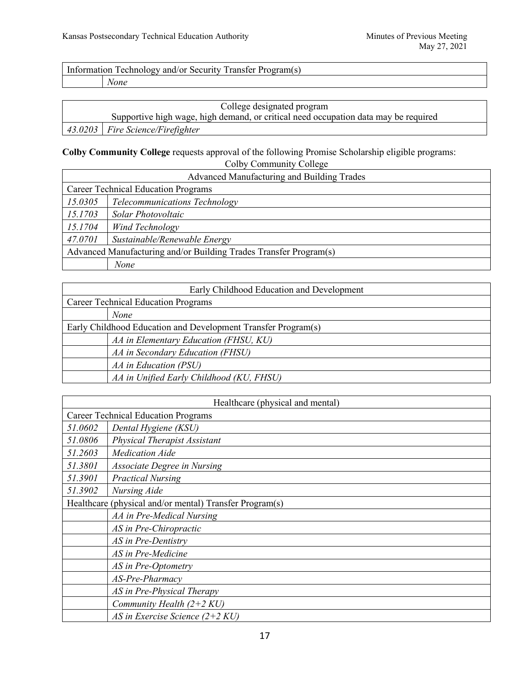Information Technology and/or Security Transfer Program(s)

*None*

| College designated program |                                                                                     |
|----------------------------|-------------------------------------------------------------------------------------|
|                            | Supportive high wage, high demand, or critical need occupation data may be required |
|                            | 43.0203   Fire Science/Firefighter                                                  |

**Colby Community College** requests approval of the following Promise Scholarship eligible programs: Colby Community College

| COIDY COMMUNISTY CONCE<br>Advanced Manufacturing and Building Trades |                               |
|----------------------------------------------------------------------|-------------------------------|
| <b>Career Technical Education Programs</b>                           |                               |
| 15.0305                                                              | Telecommunications Technology |
| 15.1703                                                              | Solar Photovoltaic            |
| 15.1704                                                              | Wind Technology               |
| 47.0701                                                              | Sustainable/Renewable Energy  |
| Advanced Manufacturing and/or Building Trades Transfer Program(s)    |                               |
|                                                                      | None                          |

| Early Childhood Education and Development                     |  |  |
|---------------------------------------------------------------|--|--|
| <b>Career Technical Education Programs</b>                    |  |  |
| <b>None</b>                                                   |  |  |
| Early Childhood Education and Development Transfer Program(s) |  |  |
| AA in Elementary Education (FHSU, KU)                         |  |  |
| AA in Secondary Education (FHSU)                              |  |  |
| AA in Education (PSU)                                         |  |  |
| AA in Unified Early Childhood (KU, FHSU)                      |  |  |

| Healthcare (physical and mental) |                                                         |
|----------------------------------|---------------------------------------------------------|
|                                  | <b>Career Technical Education Programs</b>              |
| 51.0602                          | Dental Hygiene (KSU)                                    |
| 51.0806                          | Physical Therapist Assistant                            |
| 51.2603                          | <b>Medication Aide</b>                                  |
| 51.3801                          | <b>Associate Degree in Nursing</b>                      |
| 51.3901                          | <b>Practical Nursing</b>                                |
| 51.3902                          | Nursing Aide                                            |
|                                  | Healthcare (physical and/or mental) Transfer Program(s) |
|                                  | AA in Pre-Medical Nursing                               |
|                                  | AS in Pre-Chiropractic                                  |
|                                  | AS in Pre-Dentistry                                     |
|                                  | AS in Pre-Medicine                                      |
|                                  | AS in Pre-Optometry                                     |
|                                  | AS-Pre-Pharmacy                                         |
|                                  | AS in Pre-Physical Therapy                              |
|                                  | Community Health $(2+2 KU)$                             |
|                                  | AS in Exercise Science $(2+2 KU)$                       |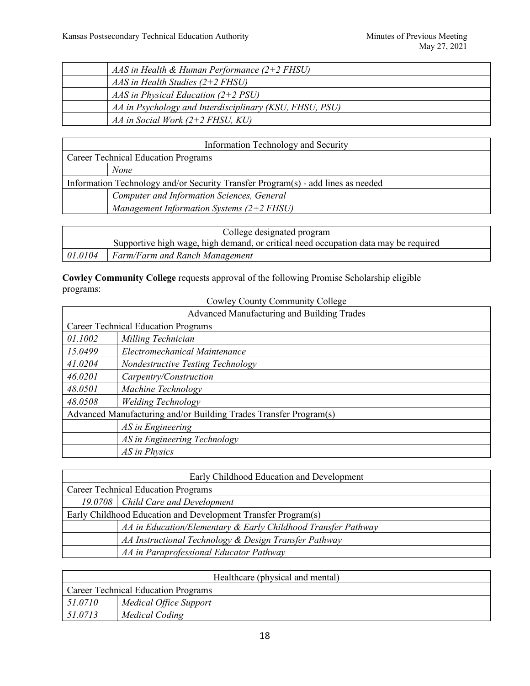| AAS in Health & Human Performance $(2+2$ FHSU)          |
|---------------------------------------------------------|
| $AAS$ in Health Studies (2+2 FHSU)                      |
| AAS in Physical Education $(2+2$ PSU)                   |
| AA in Psychology and Interdisciplinary (KSU, FHSU, PSU) |
| AA in Social Work $(2+2$ FHSU, KU)                      |

| Information Technology and Security                                              |  |
|----------------------------------------------------------------------------------|--|
| <b>Career Technical Education Programs</b>                                       |  |
| None                                                                             |  |
| Information Technology and/or Security Transfer Program(s) - add lines as needed |  |
| Computer and Information Sciences, General                                       |  |
| Management Information Systems $(2+2$ FHSU)                                      |  |

|         | College designated program                                                          |  |
|---------|-------------------------------------------------------------------------------------|--|
|         | Supportive high wage, high demand, or critical need occupation data may be required |  |
| 01.0104 | Farm/Farm and Ranch Management                                                      |  |

**Cowley Community College** requests approval of the following Promise Scholarship eligible programs: Cowley County Community College

| Advanced Manufacturing and Building Trades                        |                                   |  |
|-------------------------------------------------------------------|-----------------------------------|--|
| <b>Career Technical Education Programs</b>                        |                                   |  |
| 01.1002                                                           | Milling Technician                |  |
| 15.0499                                                           | Electromechanical Maintenance     |  |
| 41.0204                                                           | Nondestructive Testing Technology |  |
| 46.0201                                                           | Carpentry/Construction            |  |
| 48.0501                                                           | Machine Technology                |  |
| 48.0508                                                           | <b>Welding Technology</b>         |  |
| Advanced Manufacturing and/or Building Trades Transfer Program(s) |                                   |  |
|                                                                   | AS in Engineering                 |  |
|                                                                   | AS in Engineering Technology      |  |
|                                                                   | AS in Physics                     |  |

| Early Childhood Education and Development                     |                                                               |
|---------------------------------------------------------------|---------------------------------------------------------------|
| <b>Career Technical Education Programs</b>                    |                                                               |
|                                                               | 19.0708   Child Care and Development                          |
| Early Childhood Education and Development Transfer Program(s) |                                                               |
|                                                               | AA in Education/Elementary & Early Childhood Transfer Pathway |
|                                                               | AA Instructional Technology & Design Transfer Pathway         |
|                                                               | AA in Paraprofessional Educator Pathway                       |

| Healthcare (physical and mental)           |                        |
|--------------------------------------------|------------------------|
| <b>Career Technical Education Programs</b> |                        |
| 51.0710                                    | Medical Office Support |
| 51.0713                                    | Medical Coding         |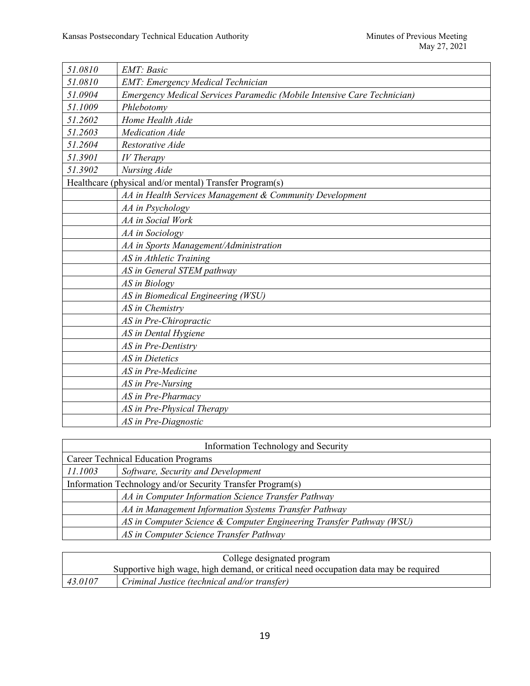| 51.0810                                                 | <b>EMT</b> : Basic                                                      |
|---------------------------------------------------------|-------------------------------------------------------------------------|
| 51.0810                                                 | <b>EMT: Emergency Medical Technician</b>                                |
| 51.0904                                                 | Emergency Medical Services Paramedic (Mobile Intensive Care Technician) |
| 51.1009                                                 | Phlebotomy                                                              |
| 51.2602                                                 | Home Health Aide                                                        |
| 51.2603                                                 | <b>Medication Aide</b>                                                  |
| 51.2604                                                 | Restorative Aide                                                        |
| 51.3901                                                 | <b>IV</b> Therapy                                                       |
| 51.3902                                                 | Nursing Aide                                                            |
| Healthcare (physical and/or mental) Transfer Program(s) |                                                                         |
|                                                         | AA in Health Services Management & Community Development                |
|                                                         | AA in Psychology                                                        |
|                                                         | AA in Social Work                                                       |
|                                                         | AA in Sociology                                                         |
|                                                         | AA in Sports Management/Administration                                  |
|                                                         | AS in Athletic Training                                                 |
|                                                         | AS in General STEM pathway                                              |
|                                                         | AS in Biology                                                           |
|                                                         | AS in Biomedical Engineering (WSU)                                      |
|                                                         | AS in Chemistry                                                         |
|                                                         | AS in Pre-Chiropractic                                                  |
|                                                         | AS in Dental Hygiene                                                    |
|                                                         | AS in Pre-Dentistry                                                     |
|                                                         | AS in Dietetics                                                         |
|                                                         | AS in Pre-Medicine                                                      |
|                                                         | AS in Pre-Nursing                                                       |
|                                                         | AS in Pre-Pharmacy                                                      |
|                                                         | AS in Pre-Physical Therapy                                              |
|                                                         | AS in Pre-Diagnostic                                                    |

|                                                            | Information Technology and Security                                  |  |
|------------------------------------------------------------|----------------------------------------------------------------------|--|
|                                                            | <b>Career Technical Education Programs</b>                           |  |
| 11.1003                                                    | Software, Security and Development                                   |  |
| Information Technology and/or Security Transfer Program(s) |                                                                      |  |
|                                                            | AA in Computer Information Science Transfer Pathway                  |  |
|                                                            | AA in Management Information Systems Transfer Pathway                |  |
|                                                            | AS in Computer Science & Computer Engineering Transfer Pathway (WSU) |  |
|                                                            | AS in Computer Science Transfer Pathway                              |  |

|         | College designated program                                                          |
|---------|-------------------------------------------------------------------------------------|
|         | Supportive high wage, high demand, or critical need occupation data may be required |
| 43.0107 | Criminal Justice (technical and/or transfer)                                        |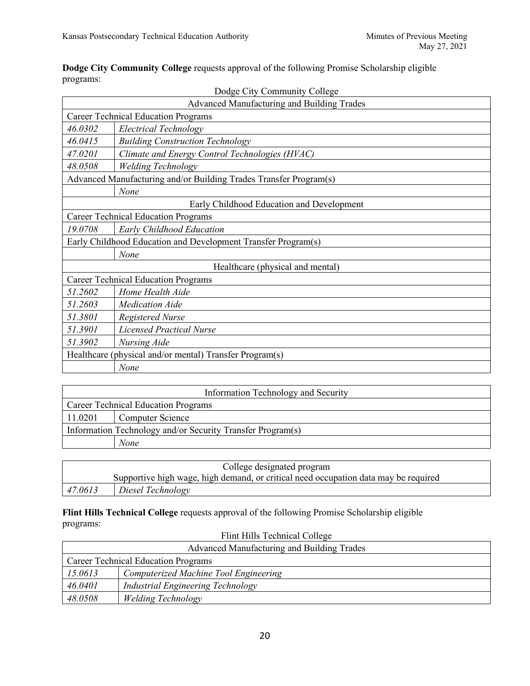**Dodge City Community College** requests approval of the following Promise Scholarship eligible programs:

|                                                               | Dodge City Community College                                      |  |
|---------------------------------------------------------------|-------------------------------------------------------------------|--|
|                                                               | Advanced Manufacturing and Building Trades                        |  |
|                                                               | <b>Career Technical Education Programs</b>                        |  |
| 46.0302                                                       | <b>Electrical Technology</b>                                      |  |
| 46.0415                                                       | <b>Building Construction Technology</b>                           |  |
| 47.0201                                                       | Climate and Energy Control Technologies (HVAC)                    |  |
| 48.0508                                                       | <b>Welding Technology</b>                                         |  |
|                                                               | Advanced Manufacturing and/or Building Trades Transfer Program(s) |  |
|                                                               | None                                                              |  |
|                                                               | Early Childhood Education and Development                         |  |
|                                                               | <b>Career Technical Education Programs</b>                        |  |
| 19.0708                                                       | Early Childhood Education                                         |  |
| Early Childhood Education and Development Transfer Program(s) |                                                                   |  |
|                                                               | None                                                              |  |
| Healthcare (physical and mental)                              |                                                                   |  |
| <b>Career Technical Education Programs</b>                    |                                                                   |  |
| 51.2602                                                       | Home Health Aide                                                  |  |
| 51.2603                                                       | <b>Medication Aide</b>                                            |  |
| 51.3801                                                       | <b>Registered Nurse</b>                                           |  |
| 51.3901                                                       | <b>Licensed Practical Nurse</b>                                   |  |
| 51.3902                                                       | Nursing Aide                                                      |  |
|                                                               | Healthcare (physical and/or mental) Transfer Program(s)           |  |
|                                                               | None                                                              |  |

|         | Information Technology and Security                        |  |
|---------|------------------------------------------------------------|--|
|         | <b>Career Technical Education Programs</b>                 |  |
| 11.0201 | <b>Computer Science</b>                                    |  |
|         | Information Technology and/or Security Transfer Program(s) |  |
|         | None                                                       |  |

|         | College designated program                                                          |
|---------|-------------------------------------------------------------------------------------|
|         | Supportive high wage, high demand, or critical need occupation data may be required |
| 47.0613 | Diesel Technology                                                                   |

**Flint Hills Technical College** requests approval of the following Promise Scholarship eligible programs: Flint Hills Technical College

| Flint Hills Technical College |                                            |
|-------------------------------|--------------------------------------------|
|                               | Advanced Manufacturing and Building Trades |
|                               | <b>Career Technical Education Programs</b> |
| 15.0613                       | Computerized Machine Tool Engineering      |
| 46.0401                       | Industrial Engineering Technology          |
| 48.0508                       | <b>Welding Technology</b>                  |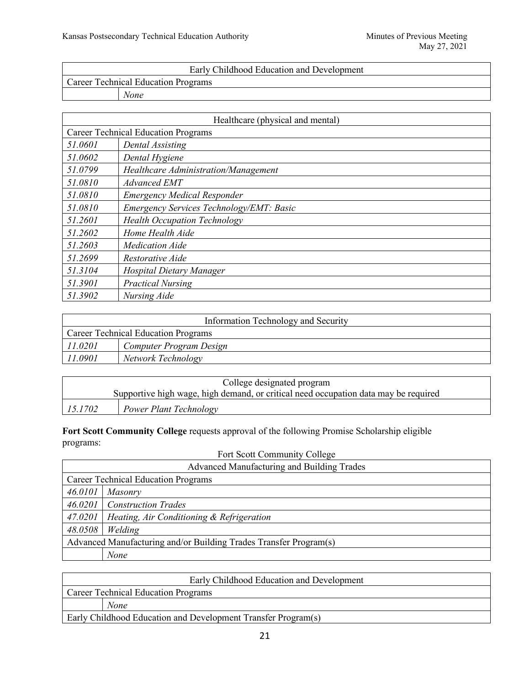|                                            | Early Childhood Education and Development |
|--------------------------------------------|-------------------------------------------|
| <b>Career Technical Education Programs</b> |                                           |
| None                                       |                                           |

|         | Healthcare (physical and mental)           |
|---------|--------------------------------------------|
|         | <b>Career Technical Education Programs</b> |
| 51.0601 | Dental Assisting                           |
| 51.0602 | Dental Hygiene                             |
| 51.0799 | Healthcare Administration/Management       |
| 51.0810 | <b>Advanced EMT</b>                        |
| 51.0810 | <b>Emergency Medical Responder</b>         |
| 51.0810 | Emergency Services Technology/EMT: Basic   |
| 51.2601 | <b>Health Occupation Technology</b>        |
| 51.2602 | Home Health Aide                           |
| 51.2603 | <b>Medication Aide</b>                     |
| 51.2699 | Restorative Aide                           |
| 51.3104 | Hospital Dietary Manager                   |
| 51.3901 | <b>Practical Nursing</b>                   |
| 51.3902 | Nursing Aide                               |

| Information Technology and Security |                                            |
|-------------------------------------|--------------------------------------------|
|                                     | <b>Career Technical Education Programs</b> |
| 11.0201                             | Computer Program Design                    |
| 11.0901                             | Network Technology                         |

|         | College designated program                                                          |
|---------|-------------------------------------------------------------------------------------|
|         | Supportive high wage, high demand, or critical need occupation data may be required |
| 15.1702 | <b>Power Plant Technology</b>                                                       |

**Fort Scott Community College** requests approval of the following Promise Scholarship eligible programs:

# Fort Scott Community College

|         | Advanced Manufacturing and Building Trades                         |  |
|---------|--------------------------------------------------------------------|--|
|         | <b>Career Technical Education Programs</b>                         |  |
| 46.0101 | Masonry                                                            |  |
| 46.0201 | <b>Construction Trades</b>                                         |  |
| 47.0201 | <i>Heating, Air Conditioning <math>\&amp;</math> Refrigeration</i> |  |
| 48.0508 | Welding                                                            |  |
|         | Advanced Manufacturing and/or Building Trades Transfer Program(s)  |  |
|         | None                                                               |  |

| Early Childhood Education and Development                     |
|---------------------------------------------------------------|
| <b>Career Technical Education Programs</b>                    |
| None                                                          |
| Early Childhood Education and Development Transfer Program(s) |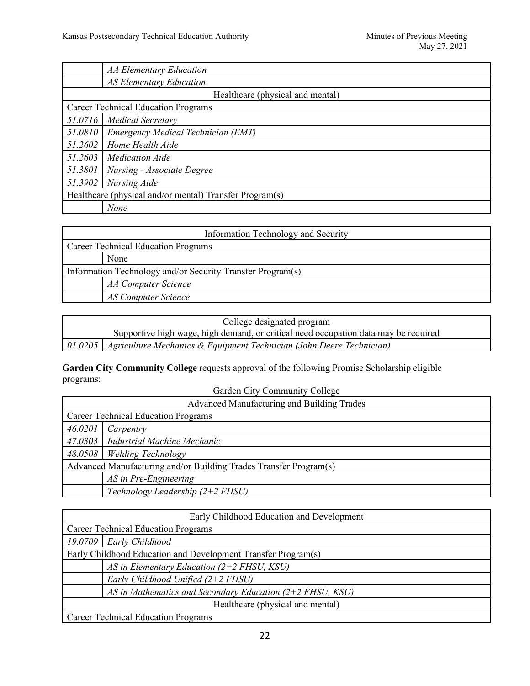|                                                         | <b>AA Elementary Education</b>     |  |
|---------------------------------------------------------|------------------------------------|--|
|                                                         | <b>AS Elementary Education</b>     |  |
| Healthcare (physical and mental)                        |                                    |  |
| <b>Career Technical Education Programs</b>              |                                    |  |
|                                                         | 51.0716   Medical Secretary        |  |
| 51.0810                                                 | Emergency Medical Technician (EMT) |  |
| 51.2602                                                 | Home Health Aide                   |  |
| 51.2603                                                 | <b>Medication Aide</b>             |  |
| 51.3801                                                 | Nursing - Associate Degree         |  |
| 51.3902                                                 | Nursing Aide                       |  |
| Healthcare (physical and/or mental) Transfer Program(s) |                                    |  |
|                                                         | None                               |  |

| Information Technology and Security                        |                            |  |
|------------------------------------------------------------|----------------------------|--|
| <b>Career Technical Education Programs</b>                 |                            |  |
|                                                            | None                       |  |
| Information Technology and/or Security Transfer Program(s) |                            |  |
|                                                            | <b>AA Computer Science</b> |  |
|                                                            | AS Computer Science        |  |

| College designated program                                                     |                                                                                     |  |
|--------------------------------------------------------------------------------|-------------------------------------------------------------------------------------|--|
|                                                                                | Supportive high wage, high demand, or critical need occupation data may be required |  |
| 01.0205   Agriculture Mechanics & Equipment Technician (John Deere Technician) |                                                                                     |  |

**Garden City Community College** requests approval of the following Promise Scholarship eligible programs:

Garden City Community College

| Advanced Manufacturing and Building Trades                        |                                       |  |
|-------------------------------------------------------------------|---------------------------------------|--|
| <b>Career Technical Education Programs</b>                        |                                       |  |
| 46.0201                                                           | Carpentry                             |  |
|                                                                   | 47.0303   Industrial Machine Mechanic |  |
|                                                                   | 48.0508   Welding Technology          |  |
| Advanced Manufacturing and/or Building Trades Transfer Program(s) |                                       |  |
|                                                                   | AS in Pre-Engineering                 |  |
|                                                                   | Technology Leadership $(2+2$ FHSU)    |  |

| Early Childhood Education and Development                     |  |  |
|---------------------------------------------------------------|--|--|
| <b>Career Technical Education Programs</b>                    |  |  |
| 19.0709   Early Childhood                                     |  |  |
| Early Childhood Education and Development Transfer Program(s) |  |  |
| AS in Elementary Education $(2+2$ FHSU, KSU)                  |  |  |
| Early Childhood Unified $(2+2$ FHSU)                          |  |  |
| AS in Mathematics and Secondary Education $(2+2$ FHSU, KSU)   |  |  |
| Healthcare (physical and mental)                              |  |  |
| <b>Career Technical Education Programs</b>                    |  |  |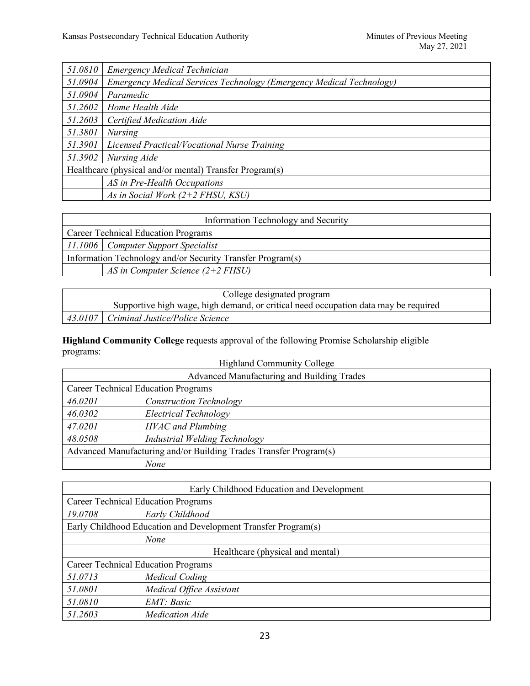| 51.0810                                                 | Emergency Medical Technician                                         |  |
|---------------------------------------------------------|----------------------------------------------------------------------|--|
| 51.0904                                                 | Emergency Medical Services Technology (Emergency Medical Technology) |  |
| 51.0904                                                 | Paramedic                                                            |  |
| 51.2602                                                 | Home Health Aide                                                     |  |
| 51.2603                                                 | Certified Medication Aide                                            |  |
| 51.3801                                                 | <b>Nursing</b>                                                       |  |
| 51.3901                                                 | Licensed Practical/Vocational Nurse Training                         |  |
| 51.3902                                                 | Nursing Aide                                                         |  |
| Healthcare (physical and/or mental) Transfer Program(s) |                                                                      |  |
|                                                         | AS in Pre-Health Occupations                                         |  |
|                                                         | As in Social Work $(2+2$ FHSU, KSU)                                  |  |

| Information Technology and Security                        |                                       |  |
|------------------------------------------------------------|---------------------------------------|--|
| <b>Career Technical Education Programs</b>                 |                                       |  |
|                                                            | 11.1006   Computer Support Specialist |  |
| Information Technology and/or Security Transfer Program(s) |                                       |  |
| AS in Computer Science $(2+2$ FHSU)                        |                                       |  |

| College designated program |                                                                                     |
|----------------------------|-------------------------------------------------------------------------------------|
|                            | Supportive high wage, high demand, or critical need occupation data may be required |
|                            | 43.0107   Criminal Justice/Police Science                                           |

**Highland Community College** requests approval of the following Promise Scholarship eligible programs:

| <b>Highland Community College</b>                                 |                                |
|-------------------------------------------------------------------|--------------------------------|
| Advanced Manufacturing and Building Trades                        |                                |
| <b>Career Technical Education Programs</b>                        |                                |
| 46.0201                                                           | <b>Construction Technology</b> |
| 46.0302                                                           | Electrical Technology          |
| 47.0201                                                           | <b>HVAC</b> and Plumbing       |
| 48.0508                                                           | Industrial Welding Technology  |
| Advanced Manufacturing and/or Building Trades Transfer Program(s) |                                |
|                                                                   | None                           |

| Early Childhood Education and Development                     |                          |  |
|---------------------------------------------------------------|--------------------------|--|
| <b>Career Technical Education Programs</b>                    |                          |  |
| 19.0708                                                       | Early Childhood          |  |
| Early Childhood Education and Development Transfer Program(s) |                          |  |
|                                                               | <b>None</b>              |  |
| Healthcare (physical and mental)                              |                          |  |
| <b>Career Technical Education Programs</b>                    |                          |  |
| 51.0713                                                       | <b>Medical Coding</b>    |  |
| 51.0801                                                       | Medical Office Assistant |  |
| 51.0810                                                       | EMT: Basic               |  |
| 51.2603                                                       | <i>Medication Aide</i>   |  |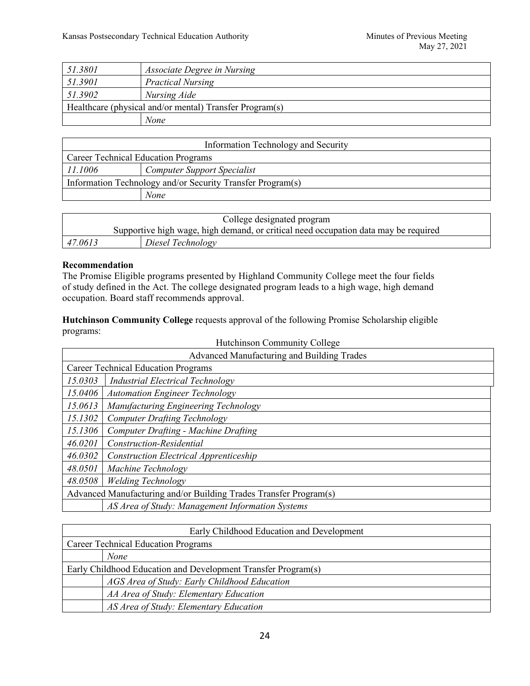| 51.3801 | Associate Degree in Nursing                             |
|---------|---------------------------------------------------------|
| 51.3901 | <b>Practical Nursing</b>                                |
| 51.3902 | Nursing Aide                                            |
|         | Healthcare (physical and/or mental) Transfer Program(s) |
|         | None                                                    |

| Information Technology and Security                        |                                    |  |
|------------------------------------------------------------|------------------------------------|--|
| <b>Career Technical Education Programs</b>                 |                                    |  |
| 11.1006                                                    | <b>Computer Support Specialist</b> |  |
| Information Technology and/or Security Transfer Program(s) |                                    |  |
|                                                            | None                               |  |

| College designated program |  |                                                                                     |
|----------------------------|--|-------------------------------------------------------------------------------------|
|                            |  | Supportive high wage, high demand, or critical need occupation data may be required |
| 47.0613                    |  | Diesel Technology                                                                   |

## **Recommendation**

The Promise Eligible programs presented by Highland Community College meet the four fields of study defined in the Act. The college designated program leads to a high wage, high demand occupation. Board staff recommends approval.

**Hutchinson Community College** requests approval of the following Promise Scholarship eligible programs: Hutchinson Community College

| Hutchinson Community College<br>Advanced Manufacturing and Building Trades |                                                  |
|----------------------------------------------------------------------------|--------------------------------------------------|
| <b>Career Technical Education Programs</b>                                 |                                                  |
| 15.0303                                                                    | <b>Industrial Electrical Technology</b>          |
| 15.0406                                                                    | <b>Automation Engineer Technology</b>            |
| 15.0613                                                                    | Manufacturing Engineering Technology             |
| 15.1302                                                                    | <b>Computer Drafting Technology</b>              |
| 15.1306                                                                    | <b>Computer Drafting - Machine Drafting</b>      |
| 46.0201                                                                    | Construction-Residential                         |
| 46.0302                                                                    | <b>Construction Electrical Apprenticeship</b>    |
| 48.0501                                                                    | Machine Technology                               |
| 48.0508                                                                    | <b>Welding Technology</b>                        |
| Advanced Manufacturing and/or Building Trades Transfer Program(s)          |                                                  |
|                                                                            | AS Area of Study: Management Information Systems |

| Early Childhood Education and Development                     |  |  |
|---------------------------------------------------------------|--|--|
| <b>Career Technical Education Programs</b>                    |  |  |
| <b>None</b>                                                   |  |  |
| Early Childhood Education and Development Transfer Program(s) |  |  |
| AGS Area of Study: Early Childhood Education                  |  |  |
| AA Area of Study: Elementary Education                        |  |  |
| AS Area of Study: Elementary Education                        |  |  |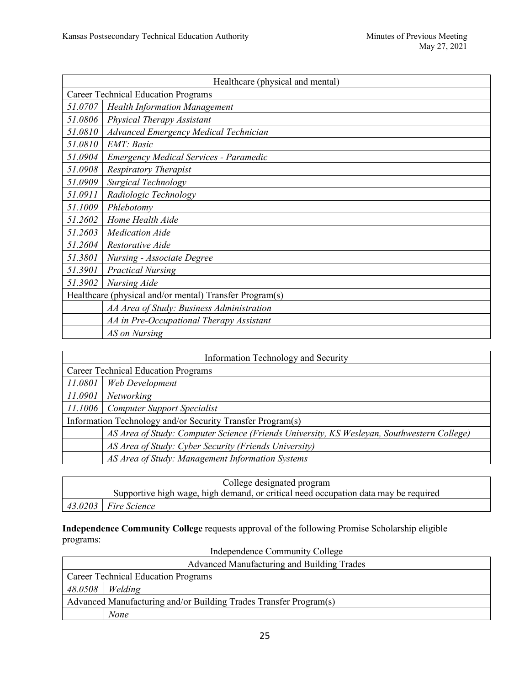|                                                         | Healthcare (physical and mental)              |  |
|---------------------------------------------------------|-----------------------------------------------|--|
| <b>Career Technical Education Programs</b>              |                                               |  |
| 51.0707                                                 | <b>Health Information Management</b>          |  |
| 51.0806                                                 | Physical Therapy Assistant                    |  |
| 51.0810                                                 | Advanced Emergency Medical Technician         |  |
| 51.0810                                                 | EMT: Basic                                    |  |
| 51.0904                                                 | <b>Emergency Medical Services - Paramedic</b> |  |
| 51.0908                                                 | <b>Respiratory Therapist</b>                  |  |
| 51.0909                                                 | Surgical Technology                           |  |
| 51.0911                                                 | Radiologic Technology                         |  |
| 51.1009                                                 | Phlebotomy                                    |  |
| 51.2602                                                 | Home Health Aide                              |  |
| 51.2603                                                 | <b>Medication Aide</b>                        |  |
| 51.2604                                                 | Restorative Aide                              |  |
| 51.3801                                                 | <b>Nursing - Associate Degree</b>             |  |
| 51.3901                                                 | <b>Practical Nursing</b>                      |  |
| 51.3902                                                 | Nursing Aide                                  |  |
| Healthcare (physical and/or mental) Transfer Program(s) |                                               |  |
|                                                         | AA Area of Study: Business Administration     |  |
|                                                         | AA in Pre-Occupational Therapy Assistant      |  |
|                                                         | AS on Nursing                                 |  |

| Information Technology and Security                        |                                                                                            |  |
|------------------------------------------------------------|--------------------------------------------------------------------------------------------|--|
| <b>Career Technical Education Programs</b>                 |                                                                                            |  |
| 11.0801                                                    | Web Development                                                                            |  |
| 11.0901                                                    | Networking                                                                                 |  |
| 11.1006                                                    | <b>Computer Support Specialist</b>                                                         |  |
| Information Technology and/or Security Transfer Program(s) |                                                                                            |  |
|                                                            | AS Area of Study: Computer Science (Friends University, KS Wesleyan, Southwestern College) |  |
|                                                            | AS Area of Study: Cyber Security (Friends University)                                      |  |
|                                                            | AS Area of Study: Management Information Systems                                           |  |

| College designated program |                                                                                     |
|----------------------------|-------------------------------------------------------------------------------------|
|                            | Supportive high wage, high demand, or critical need occupation data may be required |
|                            | $43.0203$ Fire Science                                                              |

**Independence Community College** requests approval of the following Promise Scholarship eligible programs:

| Independence Community College                                    |      |  |
|-------------------------------------------------------------------|------|--|
| Advanced Manufacturing and Building Trades                        |      |  |
| <b>Career Technical Education Programs</b>                        |      |  |
| $48.0508$ <i>Welding</i>                                          |      |  |
| Advanced Manufacturing and/or Building Trades Transfer Program(s) |      |  |
|                                                                   | None |  |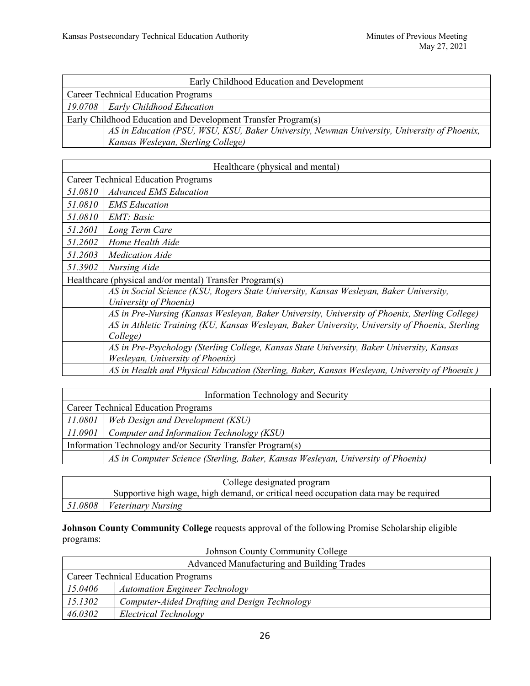| Early Childhood Education and Development                                                   |  |  |
|---------------------------------------------------------------------------------------------|--|--|
| <b>Career Technical Education Programs</b>                                                  |  |  |
| 19.0708   Early Childhood Education                                                         |  |  |
| Early Childhood Education and Development Transfer Program(s)                               |  |  |
| AS in Education (PSU, WSU, KSU, Baker University, Newman University, University of Phoenix, |  |  |
| Kansas Wesleyan, Sterling College)                                                          |  |  |

| Healthcare (physical and mental)                        |                                                                                                 |  |
|---------------------------------------------------------|-------------------------------------------------------------------------------------------------|--|
| <b>Career Technical Education Programs</b>              |                                                                                                 |  |
| 51.0810                                                 | <b>Advanced EMS Education</b>                                                                   |  |
| 51.0810                                                 | <b>EMS</b> Education                                                                            |  |
| 51.0810                                                 | EMT: Basic                                                                                      |  |
| 51.2601                                                 | Long Term Care                                                                                  |  |
| 51.2602                                                 | Home Health Aide                                                                                |  |
| 51.2603                                                 | <i>Medication Aide</i>                                                                          |  |
| 51.3902                                                 | Nursing Aide                                                                                    |  |
| Healthcare (physical and/or mental) Transfer Program(s) |                                                                                                 |  |
|                                                         | AS in Social Science (KSU, Rogers State University, Kansas Wesleyan, Baker University,          |  |
|                                                         | University of Phoenix)                                                                          |  |
|                                                         | AS in Pre-Nursing (Kansas Wesleyan, Baker University, University of Phoenix, Sterling College)  |  |
|                                                         | AS in Athletic Training (KU, Kansas Wesleyan, Baker University, University of Phoenix, Sterling |  |
|                                                         | College)                                                                                        |  |
|                                                         | AS in Pre-Psychology (Sterling College, Kansas State University, Baker University, Kansas       |  |
|                                                         | Wesleyan, University of Phoenix)                                                                |  |
|                                                         | AS in Health and Physical Education (Sterling, Baker, Kansas Wesleyan, University of Phoenix)   |  |

| Information Technology and Security                        |                                                                                  |  |
|------------------------------------------------------------|----------------------------------------------------------------------------------|--|
| <b>Career Technical Education Programs</b>                 |                                                                                  |  |
| 11.0801                                                    | <b>Web Design and Development (KSU)</b>                                          |  |
| 11.0901                                                    | Computer and Information Technology (KSU)                                        |  |
| Information Technology and/or Security Transfer Program(s) |                                                                                  |  |
|                                                            | AS in Computer Science (Sterling, Baker, Kansas Wesleyan, University of Phoenix) |  |

| College designated program                                                          |                                            |
|-------------------------------------------------------------------------------------|--------------------------------------------|
| Supportive high wage, high demand, or critical need occupation data may be required |                                            |
|                                                                                     | $\vert$ 51.0808 $\vert$ Veterinary Nursing |

**Johnson County Community College** requests approval of the following Promise Scholarship eligible programs: Johnson County Community College

| Johnson County Community College           |                                               |  |
|--------------------------------------------|-----------------------------------------------|--|
| Advanced Manufacturing and Building Trades |                                               |  |
| <b>Career Technical Education Programs</b> |                                               |  |
| 15.0406                                    | <b>Automation Engineer Technology</b>         |  |
| 15.1302                                    | Computer-Aided Drafting and Design Technology |  |
| 46.0302                                    | Electrical Technology                         |  |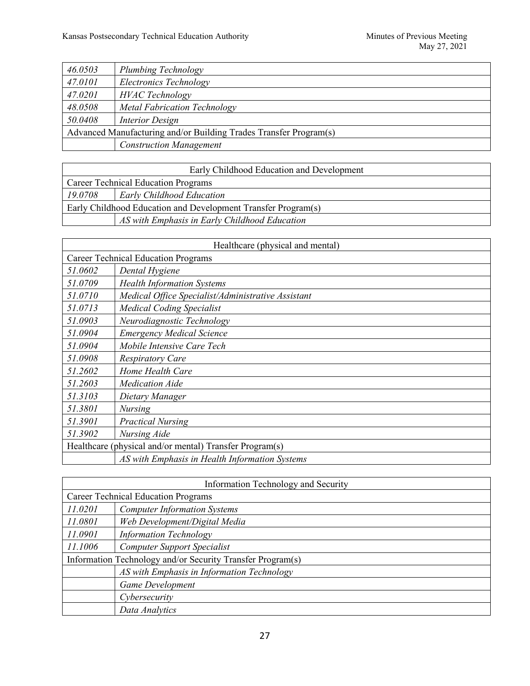| 46.0503                                                           | Plumbing Technology            |
|-------------------------------------------------------------------|--------------------------------|
| 47.0101                                                           | Electronics Technology         |
| 47.0201                                                           | <b>HVAC</b> Technology         |
| 48.0508                                                           | Metal Fabrication Technology   |
| 50.0408                                                           | Interior Design                |
| Advanced Manufacturing and/or Building Trades Transfer Program(s) |                                |
|                                                                   | <b>Construction Management</b> |

| Early Childhood Education and Development                     |                                               |
|---------------------------------------------------------------|-----------------------------------------------|
| Career Technical Education Programs                           |                                               |
| 19.0708                                                       | Early Childhood Education                     |
| Early Childhood Education and Development Transfer Program(s) |                                               |
|                                                               | AS with Emphasis in Early Childhood Education |

| Healthcare (physical and mental)           |                                                         |
|--------------------------------------------|---------------------------------------------------------|
| <b>Career Technical Education Programs</b> |                                                         |
| 51.0602                                    | Dental Hygiene                                          |
| 51.0709                                    | <b>Health Information Systems</b>                       |
| 51.0710                                    | Medical Office Specialist/Administrative Assistant      |
| 51.0713                                    | <b>Medical Coding Specialist</b>                        |
| 51.0903                                    | Neurodiagnostic Technology                              |
| 51.0904                                    | <b>Emergency Medical Science</b>                        |
| 51.0904                                    | Mobile Intensive Care Tech                              |
| 51.0908                                    | <b>Respiratory Care</b>                                 |
| 51.2602                                    | Home Health Care                                        |
| 51.2603                                    | <i>Medication Aide</i>                                  |
| 51.3103                                    | Dietary Manager                                         |
| 51.3801                                    | <b>Nursing</b>                                          |
| 51.3901                                    | <b>Practical Nursing</b>                                |
| 51.3902                                    | Nursing Aide                                            |
|                                            | Healthcare (physical and/or mental) Transfer Program(s) |
|                                            | AS with Emphasis in Health Information Systems          |

| Information Technology and Security                        |                                            |  |
|------------------------------------------------------------|--------------------------------------------|--|
| <b>Career Technical Education Programs</b>                 |                                            |  |
| 11.0201                                                    | <b>Computer Information Systems</b>        |  |
| 11.0801                                                    | Web Development/Digital Media              |  |
| 11.0901                                                    | <b>Information Technology</b>              |  |
| 11.1006                                                    | <b>Computer Support Specialist</b>         |  |
| Information Technology and/or Security Transfer Program(s) |                                            |  |
|                                                            | AS with Emphasis in Information Technology |  |
|                                                            | <b>Game Development</b>                    |  |
|                                                            | Cybersecurity                              |  |
|                                                            | Data Analytics                             |  |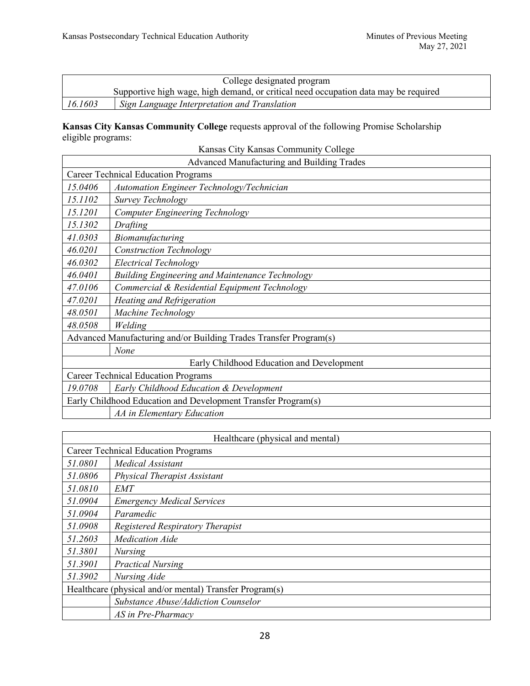| College designated program |                                                                                     |
|----------------------------|-------------------------------------------------------------------------------------|
|                            | Supportive high wage, high demand, or critical need occupation data may be required |
| 16.1603                    | <sup>1</sup> Sign Language Interpretation and Translation                           |

## **Kansas City Kansas Community College** requests approval of the following Promise Scholarship eligible programs:

| Kansas City Kansas Community College                              |                                                               |  |
|-------------------------------------------------------------------|---------------------------------------------------------------|--|
| Advanced Manufacturing and Building Trades                        |                                                               |  |
|                                                                   | <b>Career Technical Education Programs</b>                    |  |
| 15.0406                                                           | Automation Engineer Technology/Technician                     |  |
| 15.1102                                                           | Survey Technology                                             |  |
| 15.1201                                                           | Computer Engineering Technology                               |  |
| 15.1302                                                           | Drafting                                                      |  |
| 41.0303                                                           | Biomanufacturing                                              |  |
| 46.0201                                                           | <b>Construction Technology</b>                                |  |
| 46.0302                                                           | <b>Electrical Technology</b>                                  |  |
| 46.0401                                                           | Building Engineering and Maintenance Technology               |  |
| 47.0106                                                           | Commercial & Residential Equipment Technology                 |  |
| 47.0201                                                           | Heating and Refrigeration                                     |  |
| 48.0501                                                           | Machine Technology                                            |  |
| 48.0508                                                           | Welding                                                       |  |
| Advanced Manufacturing and/or Building Trades Transfer Program(s) |                                                               |  |
|                                                                   | None                                                          |  |
| Early Childhood Education and Development                         |                                                               |  |
| <b>Career Technical Education Programs</b>                        |                                                               |  |
| 19.0708                                                           | Early Childhood Education & Development                       |  |
|                                                                   | Early Childhood Education and Development Transfer Program(s) |  |
|                                                                   | AA in Elementary Education                                    |  |

| Healthcare (physical and mental)                        |                                     |
|---------------------------------------------------------|-------------------------------------|
| <b>Career Technical Education Programs</b>              |                                     |
| 51.0801                                                 | Medical Assistant                   |
| 51.0806                                                 | <b>Physical Therapist Assistant</b> |
| 51.0810                                                 | <b>EMT</b>                          |
| 51.0904                                                 | <b>Emergency Medical Services</b>   |
| 51.0904                                                 | Paramedic                           |
| 51.0908                                                 | Registered Respiratory Therapist    |
| 51.2603                                                 | <b>Medication Aide</b>              |
| 51.3801                                                 | <i>Nursing</i>                      |
| 51.3901                                                 | <b>Practical Nursing</b>            |
| 51.3902                                                 | Nursing Aide                        |
| Healthcare (physical and/or mental) Transfer Program(s) |                                     |
|                                                         | Substance Abuse/Addiction Counselor |
|                                                         | AS in Pre-Pharmacy                  |

28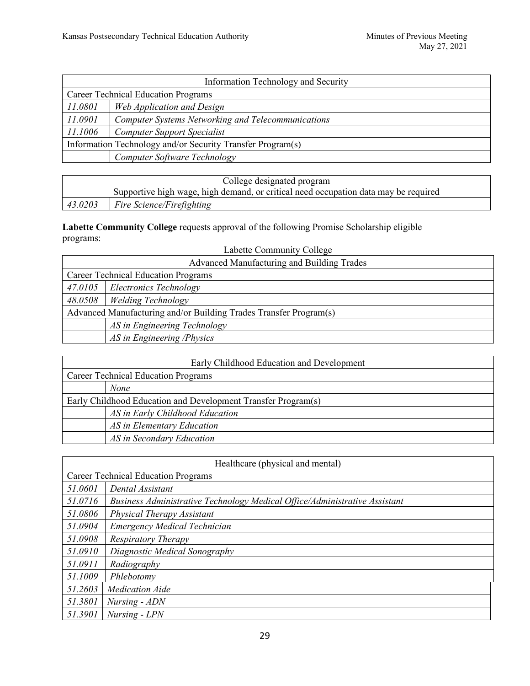| Information Technology and Security                        |                                                           |
|------------------------------------------------------------|-----------------------------------------------------------|
| <b>Career Technical Education Programs</b>                 |                                                           |
| 11.0801                                                    | Web Application and Design                                |
| 11.0901                                                    | <b>Computer Systems Networking and Telecommunications</b> |
| 11.1006                                                    | <b>Computer Support Specialist</b>                        |
| Information Technology and/or Security Transfer Program(s) |                                                           |
|                                                            | Computer Software Technology                              |

| College designated program |                                                                                     |
|----------------------------|-------------------------------------------------------------------------------------|
|                            | Supportive high wage, high demand, or critical need occupation data may be required |
| 43.0203                    | $\mid$ Fire Science/Firefighting                                                    |

**Labette Community College** requests approval of the following Promise Scholarship eligible programs: Labette Community College

| Labelle Community Concee                                          |                              |
|-------------------------------------------------------------------|------------------------------|
| Advanced Manufacturing and Building Trades                        |                              |
| <b>Career Technical Education Programs</b>                        |                              |
| 47.0105                                                           | Electronics Technology       |
| 48.0508                                                           | <b>Welding Technology</b>    |
| Advanced Manufacturing and/or Building Trades Transfer Program(s) |                              |
|                                                                   | AS in Engineering Technology |
|                                                                   | AS in Engineering /Physics   |

| Early Childhood Education and Development                     |                                 |
|---------------------------------------------------------------|---------------------------------|
| <b>Career Technical Education Programs</b>                    |                                 |
| None                                                          |                                 |
| Early Childhood Education and Development Transfer Program(s) |                                 |
|                                                               | AS in Early Childhood Education |
|                                                               | AS in Elementary Education      |
|                                                               | AS in Secondary Education       |

| Healthcare (physical and mental)           |                                                                            |
|--------------------------------------------|----------------------------------------------------------------------------|
| <b>Career Technical Education Programs</b> |                                                                            |
| 51.0601                                    | Dental Assistant                                                           |
| 51.0716                                    | Business Administrative Technology Medical Office/Administrative Assistant |
| 51.0806                                    | Physical Therapy Assistant                                                 |
| 51.0904                                    | Emergency Medical Technician                                               |
| 51.0908                                    | Respiratory Therapy                                                        |
| 51.0910                                    | Diagnostic Medical Sonography                                              |
| 51.0911                                    | Radiography                                                                |
| 51.1009                                    | Phlebotomy                                                                 |
| 51.2603                                    | <b>Medication Aide</b>                                                     |
| 51.3801                                    | Nursing - ADN                                                              |
| 51.3901                                    | Nursing - LPN                                                              |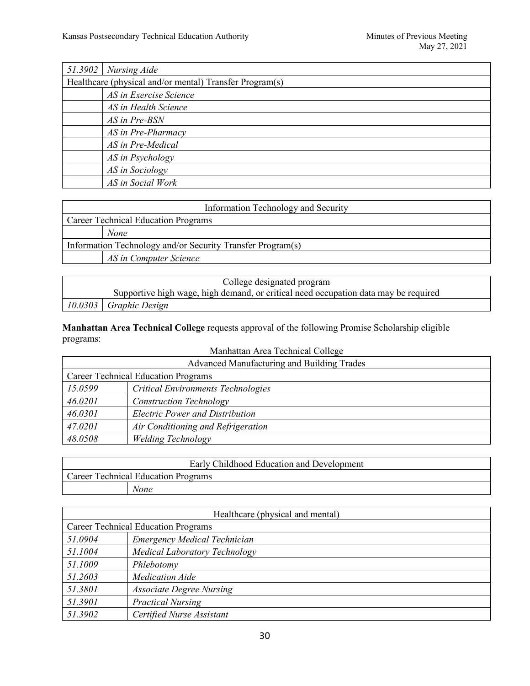| $51.3902$ Nursing Aide                                  |  |
|---------------------------------------------------------|--|
| Healthcare (physical and/or mental) Transfer Program(s) |  |
| AS in Exercise Science                                  |  |
| AS in Health Science                                    |  |
| AS in Pre-BSN                                           |  |
| AS in Pre-Pharmacy                                      |  |
| AS in Pre-Medical                                       |  |
| AS in Psychology                                        |  |
| AS in Sociology                                         |  |
| AS in Social Work                                       |  |

| Information Technology and Security                        |  |
|------------------------------------------------------------|--|
| <b>Career Technical Education Programs</b>                 |  |
| <b>None</b>                                                |  |
| Information Technology and/or Security Transfer Program(s) |  |
| AS in Computer Science                                     |  |
|                                                            |  |

| College designated program                                                          |  |
|-------------------------------------------------------------------------------------|--|
| Supportive high wage, high demand, or critical need occupation data may be required |  |
| $10.0303$ Graphic Design                                                            |  |

**Manhattan Area Technical College** requests approval of the following Promise Scholarship eligible programs: Manhattan Area Technical Colle

| Advanced Manufacturing and Building Trades |                                           |
|--------------------------------------------|-------------------------------------------|
| <b>Career Technical Education Programs</b> |                                           |
| 15.0599                                    | <b>Critical Environments Technologies</b> |
| 46.0201                                    | <b>Construction Technology</b>            |
| 46.0301                                    | <b>Electric Power and Distribution</b>    |
| 47.0201                                    | Air Conditioning and Refrigeration        |
| 48.0508                                    | <b>Welding Technology</b>                 |

| Early Childhood Education and Development  |  |
|--------------------------------------------|--|
| <b>Career Technical Education Programs</b> |  |
| <i>None</i>                                |  |

| Healthcare (physical and mental)           |                                     |
|--------------------------------------------|-------------------------------------|
| <b>Career Technical Education Programs</b> |                                     |
| 51.0904                                    | <b>Emergency Medical Technician</b> |
| 51.1004                                    | Medical Laboratory Technology       |
| 51.1009                                    | Phlebotomy                          |
| 51.2603                                    | <b>Medication Aide</b>              |
| 51.3801                                    | <b>Associate Degree Nursing</b>     |
| 51.3901                                    | <b>Practical Nursing</b>            |
| 51.3902                                    | Certified Nurse Assistant           |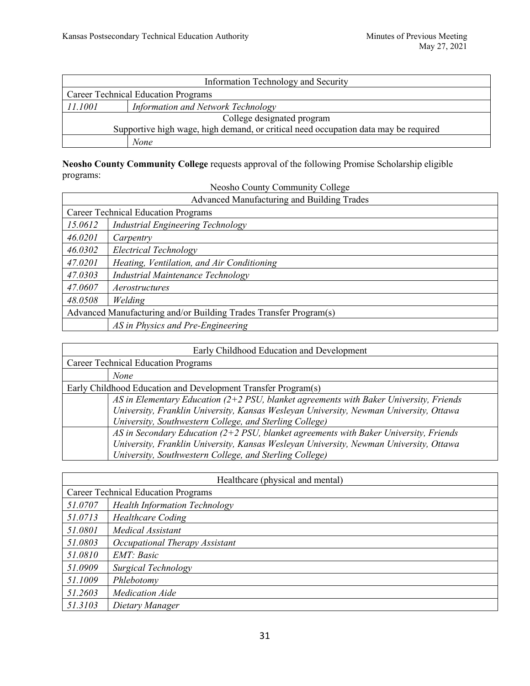$\overline{\phantom{a}}$ 

| Information Technology and Security                                                 |                                           |  |
|-------------------------------------------------------------------------------------|-------------------------------------------|--|
| <b>Career Technical Education Programs</b>                                          |                                           |  |
| 11.1001                                                                             | <b>Information and Network Technology</b> |  |
| College designated program                                                          |                                           |  |
| Supportive high wage, high demand, or critical need occupation data may be required |                                           |  |
|                                                                                     | None                                      |  |

**Neosho County Community College** requests approval of the following Promise Scholarship eligible programs: Neosho County Community College

| Neosno County Community College            |  |
|--------------------------------------------|--|
| Advenged Menufacturing and Duilding Trades |  |

| Neosho County Community College                                   |                                            |  |
|-------------------------------------------------------------------|--------------------------------------------|--|
|                                                                   | Advanced Manufacturing and Building Trades |  |
| <b>Career Technical Education Programs</b>                        |                                            |  |
| 15.0612                                                           | Industrial Engineering Technology          |  |
| 46.0201                                                           | Carpentry                                  |  |
| 46.0302                                                           | Electrical Technology                      |  |
| 47.0201                                                           | Heating, Ventilation, and Air Conditioning |  |
| 47.0303                                                           | <b>Industrial Maintenance Technology</b>   |  |
| 47.0607                                                           | Aerostructures                             |  |
| 48.0508                                                           | Welding                                    |  |
| Advanced Manufacturing and/or Building Trades Transfer Program(s) |                                            |  |
|                                                                   | AS in Physics and Pre-Engineering          |  |

| Early Childhood Education and Development                                                |  |  |
|------------------------------------------------------------------------------------------|--|--|
| <b>Career Technical Education Programs</b>                                               |  |  |
| <b>None</b>                                                                              |  |  |
| Early Childhood Education and Development Transfer Program(s)                            |  |  |
| AS in Elementary Education $(2+2$ PSU, blanket agreements with Baker University, Friends |  |  |
| University, Franklin University, Kansas Wesleyan University, Newman University, Ottawa   |  |  |
| University, Southwestern College, and Sterling College)                                  |  |  |
| AS in Secondary Education ( $2+2$ PSU, blanket agreements with Baker University, Friends |  |  |
| University, Franklin University, Kansas Wesleyan University, Newman University, Ottawa   |  |  |
| University, Southwestern College, and Sterling College)                                  |  |  |

| Healthcare (physical and mental) |                                            |  |
|----------------------------------|--------------------------------------------|--|
|                                  | <b>Career Technical Education Programs</b> |  |
| 51.0707                          | <b>Health Information Technology</b>       |  |
| 51.0713                          | <b>Healthcare Coding</b>                   |  |
| 51.0801                          | Medical Assistant                          |  |
| 51.0803                          | Occupational Therapy Assistant             |  |
| 51.0810                          | EMT: Basic                                 |  |
| 51.0909                          | Surgical Technology                        |  |
| 51.1009                          | Phlebotomy                                 |  |
| 51.2603                          | <b>Medication Aide</b>                     |  |
| 51.3103                          | Dietary Manager                            |  |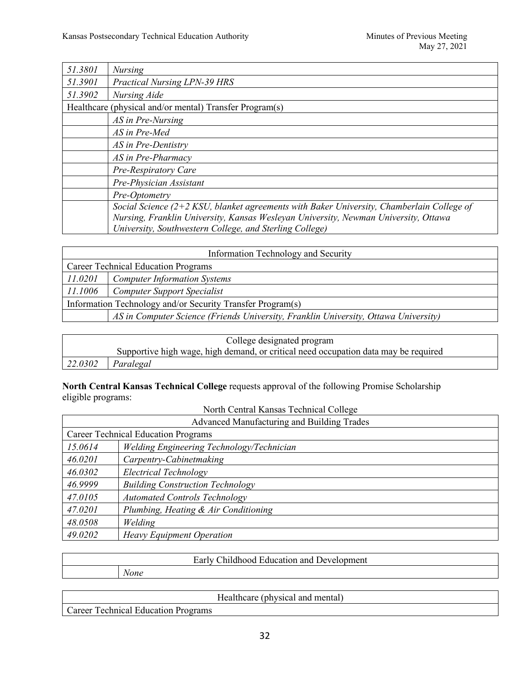| 51.3801 | <b>Nursing</b>                                                                              |
|---------|---------------------------------------------------------------------------------------------|
| 51.3901 | <b>Practical Nursing LPN-39 HRS</b>                                                         |
| 51.3902 | Nursing Aide                                                                                |
|         | Healthcare (physical and/or mental) Transfer Program(s)                                     |
|         | AS in Pre-Nursing                                                                           |
|         | AS in Pre-Med                                                                               |
|         | AS in Pre-Dentistry                                                                         |
|         | AS in Pre-Pharmacy                                                                          |
|         | Pre-Respiratory Care                                                                        |
|         | Pre-Physician Assistant                                                                     |
|         | Pre-Optometry                                                                               |
|         | Social Science $(2+2$ KSU, blanket agreements with Baker University, Chamberlain College of |
|         | Nursing, Franklin University, Kansas Wesleyan University, Newman University, Ottawa         |
|         | University, Southwestern College, and Sterling College)                                     |

| Information Technology and Security                        |                                                                                     |
|------------------------------------------------------------|-------------------------------------------------------------------------------------|
| <b>Career Technical Education Programs</b>                 |                                                                                     |
| 11.0201<br><b>Computer Information Systems</b>             |                                                                                     |
| 11.1006                                                    | <b>Computer Support Specialist</b>                                                  |
| Information Technology and/or Security Transfer Program(s) |                                                                                     |
|                                                            | AS in Computer Science (Friends University, Franklin University, Ottawa University) |

|         | College designated program                                                          |  |
|---------|-------------------------------------------------------------------------------------|--|
|         | Supportive high wage, high demand, or critical need occupation data may be required |  |
| 22.0302 | Paralegal                                                                           |  |

#### **North Central Kansas Technical College** requests approval of the following Promise Scholarship eligible programs: North Central Kansas Technical College

| North Central Kansas Technical College     |                                           |
|--------------------------------------------|-------------------------------------------|
| Advanced Manufacturing and Building Trades |                                           |
| <b>Career Technical Education Programs</b> |                                           |
| 15.0614                                    | Welding Engineering Technology/Technician |
| 46.0201                                    | Carpentry-Cabinetmaking                   |
| 46.0302                                    | Electrical Technology                     |
| 46.9999                                    | <b>Building Construction Technology</b>   |
| 47.0105                                    | <b>Automated Controls Technology</b>      |
| 47.0201                                    | Plumbing, Heating & Air Conditioning      |
| 48.0508                                    | Welding                                   |
| 49.0202                                    | <b>Heavy Equipment Operation</b>          |

| None |  |
|------|--|

|                                                | dhysical<br>-lao Ith<br>1000a<br>and<br>menta<br>пеаннсаге |
|------------------------------------------------|------------------------------------------------------------|
| echnical<br>$'$ oroor<br>Programs<br>Education |                                                            |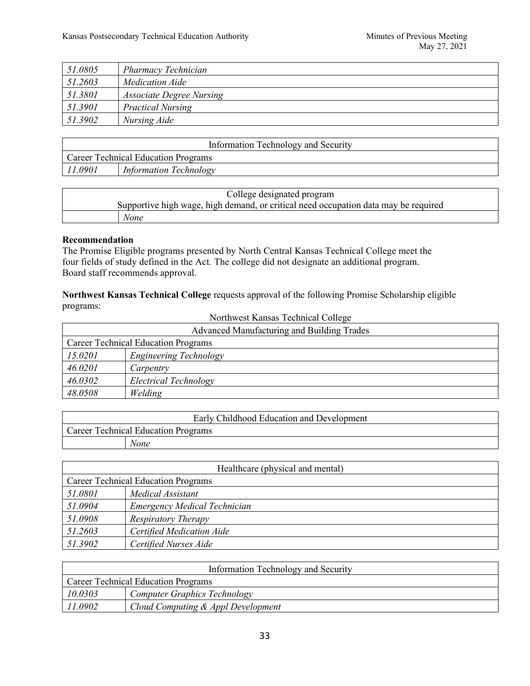| 51.0805 | <b>Pharmacy Technician</b>      |
|---------|---------------------------------|
| 51.2603 | <b>Medication Aide</b>          |
| 51.3801 | <i>Associate Degree Nursing</i> |
| 51.3901 | <b>Practical Nursing</b>        |
| 51.3902 | Nursing Aide                    |

| Information Technology and Security        |                        |  |
|--------------------------------------------|------------------------|--|
| <b>Career Technical Education Programs</b> |                        |  |
| 11.0901                                    | Information Technology |  |

| College designated program                                                          |
|-------------------------------------------------------------------------------------|
| Supportive high wage, high demand, or critical need occupation data may be required |
| None                                                                                |

#### **Recommendation**

The Promise Eligible programs presented by North Central Kansas Technical College meet the four fields of study defined in the Act. The college did not designate an additional program. Board staff recommends approval.

**Northwest Kansas Technical College** requests approval of the following Promise Scholarship eligible programs:

| Northwest Kansas Technical College         |                        |  |
|--------------------------------------------|------------------------|--|
| Advanced Manufacturing and Building Trades |                        |  |
| <b>Career Technical Education Programs</b> |                        |  |
| 15.0201                                    | Engineering Technology |  |
| 46.0201                                    | Carpentry              |  |
| 46.0302                                    | Electrical Technology  |  |
| 48.0508                                    | Welding                |  |

| Early Childhood Education and Development  |  |
|--------------------------------------------|--|
| <b>Career Technical Education Programs</b> |  |
| None                                       |  |

| Healthcare (physical and mental)           |                              |
|--------------------------------------------|------------------------------|
| <b>Career Technical Education Programs</b> |                              |
| 51.0801                                    | Medical Assistant            |
| 51.0904                                    | Emergency Medical Technician |
| 51.0908                                    | <b>Respiratory Therapy</b>   |
| 51.2603                                    | Certified Medication Aide    |
| 51.3902                                    | Certified Nurses Aide        |

| Information Technology and Security        |                                     |  |
|--------------------------------------------|-------------------------------------|--|
| <b>Career Technical Education Programs</b> |                                     |  |
| 10.0303                                    | <b>Computer Graphics Technology</b> |  |
| 11.0902                                    | Cloud Computing & Appl Development  |  |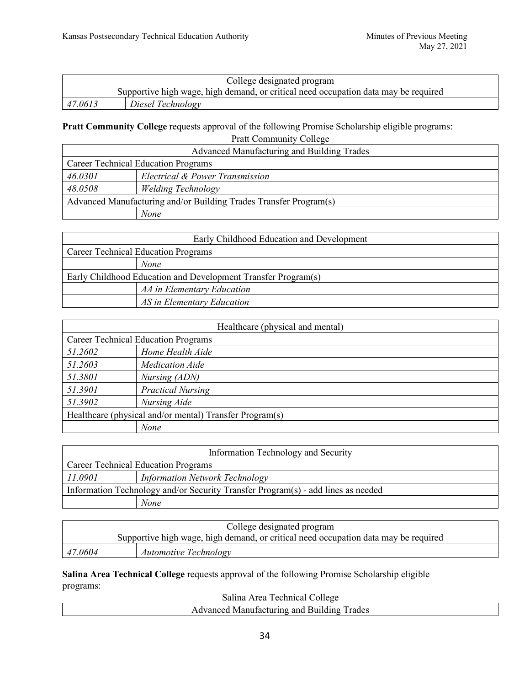|         | College designated program                                                          |
|---------|-------------------------------------------------------------------------------------|
|         | Supportive high wage, high demand, or critical need occupation data may be required |
| 47.0613 | Diesel Technology                                                                   |

### **Pratt Community College** requests approval of the following Promise Scholarship eligible programs: Pratt Community College

| Advanced Manufacturing and Building Trades                        |                                 |  |
|-------------------------------------------------------------------|---------------------------------|--|
| <b>Career Technical Education Programs</b>                        |                                 |  |
| 46.0301                                                           | Electrical & Power Transmission |  |
| 48.0508                                                           | <b>Welding Technology</b>       |  |
| Advanced Manufacturing and/or Building Trades Transfer Program(s) |                                 |  |
|                                                                   | None                            |  |

|                                                               | Early Childhood Education and Development |
|---------------------------------------------------------------|-------------------------------------------|
| <b>Career Technical Education Programs</b>                    |                                           |
|                                                               | None                                      |
| Early Childhood Education and Development Transfer Program(s) |                                           |
|                                                               | AA in Elementary Education                |
|                                                               | AS in Elementary Education                |

| Healthcare (physical and mental)                        |                          |  |
|---------------------------------------------------------|--------------------------|--|
| <b>Career Technical Education Programs</b>              |                          |  |
| 51.2602                                                 | Home Health Aide         |  |
| 51.2603                                                 | <b>Medication Aide</b>   |  |
| 51.3801                                                 | Nursing (ADN)            |  |
| 51.3901                                                 | <b>Practical Nursing</b> |  |
| 51.3902                                                 | Nursing Aide             |  |
| Healthcare (physical and/or mental) Transfer Program(s) |                          |  |
|                                                         | None                     |  |

| Information Technology and Security                                              |                                       |  |
|----------------------------------------------------------------------------------|---------------------------------------|--|
| <b>Career Technical Education Programs</b>                                       |                                       |  |
| 11.0901                                                                          | <b>Information Network Technology</b> |  |
| Information Technology and/or Security Transfer Program(s) - add lines as needed |                                       |  |
|                                                                                  | <b>None</b>                           |  |

|         | College designated program                                                          |
|---------|-------------------------------------------------------------------------------------|
|         | Supportive high wage, high demand, or critical need occupation data may be required |
| 47.0604 | <b>Automotive Technology</b>                                                        |

**Salina Area Technical College** requests approval of the following Promise Scholarship eligible programs:

Salina Area Technical College

| Banna Area Technical Concec                                         |
|---------------------------------------------------------------------|
| T <sub>rades</sub><br>anc<br>Buildino<br>weani<br>.<br>urmo<br>11 C |
|                                                                     |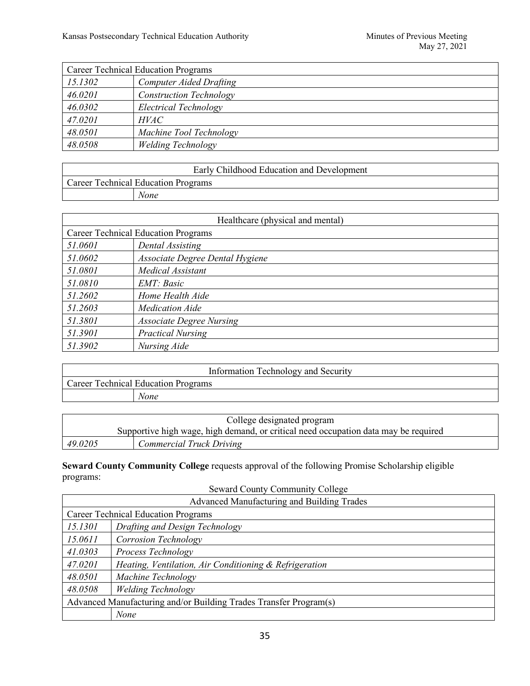| <b>Career Technical Education Programs</b> |                                |  |
|--------------------------------------------|--------------------------------|--|
| 15.1302                                    | <b>Computer Aided Drafting</b> |  |
| 46.0201                                    | <b>Construction Technology</b> |  |
| 46.0302                                    | Electrical Technology          |  |
| 47.0201                                    | HVAC                           |  |
| 48.0501                                    | Machine Tool Technology        |  |
| 48.0508                                    | <b>Welding Technology</b>      |  |

| Early Childhood Education and Development  |  |
|--------------------------------------------|--|
| <b>Career Technical Education Programs</b> |  |
| None                                       |  |

| Healthcare (physical and mental) |                                            |  |
|----------------------------------|--------------------------------------------|--|
|                                  | <b>Career Technical Education Programs</b> |  |
| 51.0601                          | Dental Assisting                           |  |
| 51.0602                          | Associate Degree Dental Hygiene            |  |
| 51.0801                          | Medical Assistant                          |  |
| 51.0810                          | EMT: Basic                                 |  |
| 51.2602                          | Home Health Aide                           |  |
| 51.2603                          | <b>Medication Aide</b>                     |  |
| 51.3801                          | <b>Associate Degree Nursing</b>            |  |
| 51.3901                          | <b>Practical Nursing</b>                   |  |
| 51.3902                          | Nursing Aide                               |  |

| Information Technology and Security        |  |
|--------------------------------------------|--|
| <b>Career Technical Education Programs</b> |  |
| None                                       |  |

|         | College designated program                                                          |  |
|---------|-------------------------------------------------------------------------------------|--|
|         | Supportive high wage, high demand, or critical need occupation data may be required |  |
| 49.0205 | Commercial Truck Driving                                                            |  |

**Seward County Community College** requests approval of the following Promise Scholarship eligible programs:

| Seward County Community College                                   |                                                        |
|-------------------------------------------------------------------|--------------------------------------------------------|
| Advanced Manufacturing and Building Trades                        |                                                        |
| <b>Career Technical Education Programs</b>                        |                                                        |
| 15.1301                                                           | Drafting and Design Technology                         |
| 15.0611                                                           | Corrosion Technology                                   |
| 41.0303                                                           | Process Technology                                     |
| 47.0201                                                           | Heating, Ventilation, Air Conditioning & Refrigeration |
| 48.0501                                                           | Machine Technology                                     |
| 48.0508                                                           | <b>Welding Technology</b>                              |
| Advanced Manufacturing and/or Building Trades Transfer Program(s) |                                                        |
|                                                                   | None                                                   |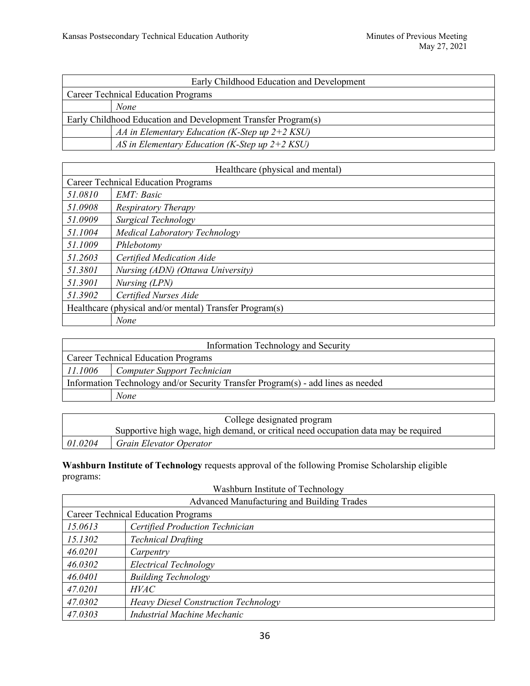|                                                               | Early Childhood Education and Development        |
|---------------------------------------------------------------|--------------------------------------------------|
| <b>Career Technical Education Programs</b>                    |                                                  |
|                                                               | None                                             |
| Early Childhood Education and Development Transfer Program(s) |                                                  |
|                                                               | AA in Elementary Education (K-Step up $2+2$ KSU) |
|                                                               | AS in Elementary Education (K-Step up $2+2$ KSU) |

| Healthcare (physical and mental)                        |                                            |
|---------------------------------------------------------|--------------------------------------------|
|                                                         | <b>Career Technical Education Programs</b> |
| 51.0810                                                 | EMT: Basic                                 |
| 51.0908                                                 | <b>Respiratory Therapy</b>                 |
| 51.0909                                                 | Surgical Technology                        |
| 51.1004                                                 | Medical Laboratory Technology              |
| 51.1009                                                 | Phlebotomy                                 |
| 51.2603                                                 | Certified Medication Aide                  |
| 51.3801                                                 | Nursing (ADN) (Ottawa University)          |
| 51.3901                                                 | Nursing (LPN)                              |
| 51.3902                                                 | Certified Nurses Aide                      |
| Healthcare (physical and/or mental) Transfer Program(s) |                                            |
|                                                         | None                                       |

| Information Technology and Security                                              |                             |
|----------------------------------------------------------------------------------|-----------------------------|
| <b>Career Technical Education Programs</b>                                       |                             |
| 11.1006                                                                          | Computer Support Technician |
| Information Technology and/or Security Transfer Program(s) - add lines as needed |                             |
|                                                                                  | None                        |

| College designated program |                                                                                     |
|----------------------------|-------------------------------------------------------------------------------------|
|                            | Supportive high wage, high demand, or critical need occupation data may be required |
| 01.0204                    | Grain Elevator Operator                                                             |

**Washburn Institute of Technology** requests approval of the following Promise Scholarship eligible programs:

| Washburn Institute of Technology           |                                             |
|--------------------------------------------|---------------------------------------------|
| Advanced Manufacturing and Building Trades |                                             |
| <b>Career Technical Education Programs</b> |                                             |
| 15.0613                                    | Certified Production Technician             |
| 15.1302                                    | <b>Technical Drafting</b>                   |
| 46.0201                                    | Carpentry                                   |
| 46.0302                                    | Electrical Technology                       |
| 46.0401                                    | <b>Building Technology</b>                  |
| 47.0201                                    | <b>HVAC</b>                                 |
| 47.0302                                    | <b>Heavy Diesel Construction Technology</b> |
| 47.0303                                    | Industrial Machine Mechanic                 |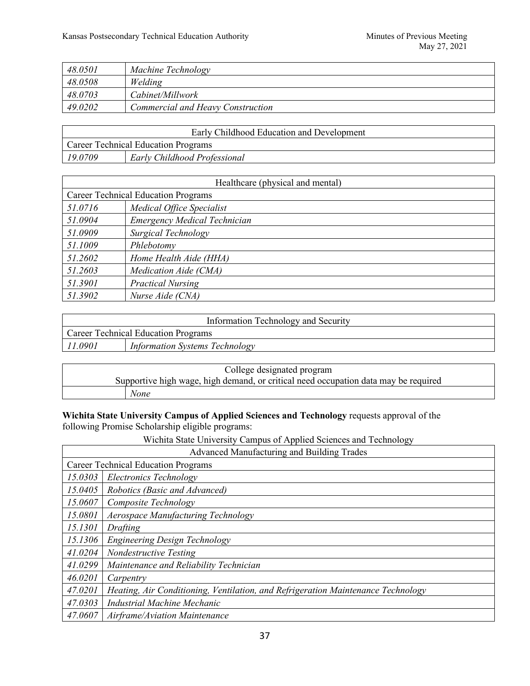| 48.0501 | Machine Technology                |
|---------|-----------------------------------|
| 48.0508 | Welding                           |
| 48.0703 | Cabinet/Millwork                  |
| 49.0202 | Commercial and Heavy Construction |

|                                            | Early Childhood Education and Development |
|--------------------------------------------|-------------------------------------------|
| <b>Career Technical Education Programs</b> |                                           |
| 19.0709                                    | Early Childhood Professional              |

| Healthcare (physical and mental)           |                                     |
|--------------------------------------------|-------------------------------------|
| <b>Career Technical Education Programs</b> |                                     |
| 51.0716                                    | Medical Office Specialist           |
| 51.0904                                    | <b>Emergency Medical Technician</b> |
| 51.0909                                    | Surgical Technology                 |
| 51.1009                                    | Phlebotomy                          |
| 51.2602                                    | Home Health Aide (HHA)              |
| 51.2603                                    | Medication Aide (CMA)               |
| 51.3901                                    | <b>Practical Nursing</b>            |
| 51.3902                                    | Nurse Aide (CNA)                    |

| Information Technology and Security |                                       |
|-------------------------------------|---------------------------------------|
| Career Technical Education Programs |                                       |
| 11.0901                             | <b>Information Systems Technology</b> |

| College designated program                                                          |
|-------------------------------------------------------------------------------------|
| Supportive high wage, high demand, or critical need occupation data may be required |
| None                                                                                |

# **Wichita State University Campus of Applied Sciences and Technology** requests approval of the following Promise Scholarship eligible programs:

Wichita State University Campus of Applied Sciences and Technology

| Advanced Manufacturing and Building Trades |                                                                                  |  |
|--------------------------------------------|----------------------------------------------------------------------------------|--|
|                                            | <b>Career Technical Education Programs</b>                                       |  |
| 15.0303                                    | Electronics Technology                                                           |  |
| 15.0405                                    | Robotics (Basic and Advanced)                                                    |  |
| 15.0607                                    | Composite Technology                                                             |  |
| 15.0801                                    | Aerospace Manufacturing Technology                                               |  |
| 15.1301                                    | Drafting                                                                         |  |
| 15.1306                                    | Engineering Design Technology                                                    |  |
| 41.0204                                    | Nondestructive Testing                                                           |  |
| 41.0299                                    | Maintenance and Reliability Technician                                           |  |
| 46.0201                                    | Carpentry                                                                        |  |
| 47.0201                                    | Heating, Air Conditioning, Ventilation, and Refrigeration Maintenance Technology |  |
| 47.0303                                    | <b>Industrial Machine Mechanic</b>                                               |  |
| 47.0607                                    | Airframe/Aviation Maintenance                                                    |  |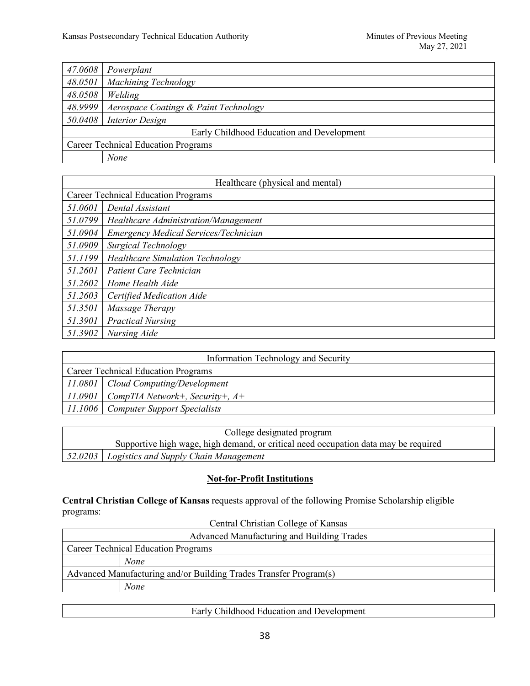| 47.0608 | Powerplant                                 |
|---------|--------------------------------------------|
| 48.0501 | Machining Technology                       |
| 48.0508 | Welding                                    |
| 48.9999 | Aerospace Coatings & Paint Technology      |
|         | 50.0408 Interior Design                    |
|         | Early Childhood Education and Development  |
|         | <b>Career Technical Education Programs</b> |
|         | None                                       |

|         | Healthcare (physical and mental)           |  |
|---------|--------------------------------------------|--|
|         | <b>Career Technical Education Programs</b> |  |
| 51.0601 | Dental Assistant                           |  |
| 51.0799 | Healthcare Administration/Management       |  |
| 51.0904 | Emergency Medical Services/Technician      |  |
| 51.0909 | Surgical Technology                        |  |
| 51.1199 | <b>Healthcare Simulation Technology</b>    |  |
| 51.2601 | Patient Care Technician                    |  |
| 51.2602 | Home Health Aide                           |  |
| 51.2603 | Certified Medication Aide                  |  |
| 51.3501 | Massage Therapy                            |  |
| 51.3901 | <b>Practical Nursing</b>                   |  |
| 51.3902 | Nursing Aide                               |  |

|                                            | Information Technology and Security         |
|--------------------------------------------|---------------------------------------------|
| <b>Career Technical Education Programs</b> |                                             |
|                                            | $11.0801$ Cloud Computing/Development       |
|                                            | 11.0901   CompTIA Network+, Security+, $A+$ |
|                                            | 11.1006   Computer Support Specialists      |

| College designated program                                                          |
|-------------------------------------------------------------------------------------|
| Supportive high wage, high demand, or critical need occupation data may be required |
| [52.0203] Logistics and Supply Chain Management                                     |

# **Not-for-Profit Institutions**

**Central Christian College of Kansas** requests approval of the following Promise Scholarship eligible programs:

| Central Christian College of Kansas                               |
|-------------------------------------------------------------------|
| Advanced Manufacturing and Building Trades                        |
| <b>Career Technical Education Programs</b>                        |
| None                                                              |
| Advanced Manufacturing and/or Building Trades Transfer Program(s) |
| <b>None</b>                                                       |
|                                                                   |

| Early Childhood Education and Development |
|-------------------------------------------|
|                                           |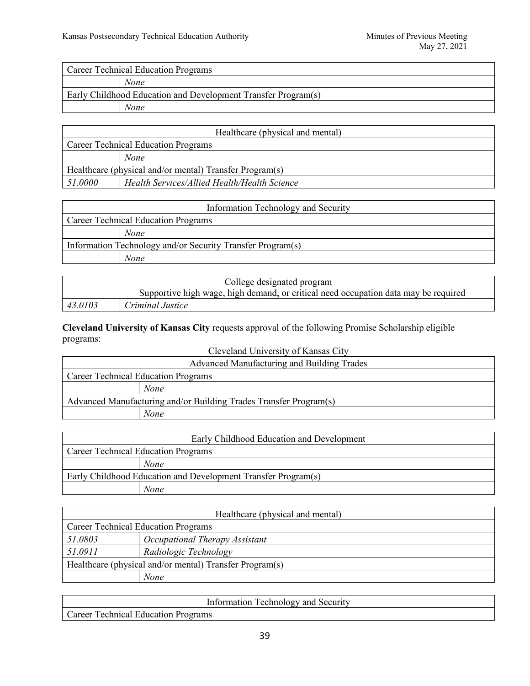|         | Healthcare (physical and mental)                        |  |
|---------|---------------------------------------------------------|--|
|         | <b>Career Technical Education Programs</b>              |  |
|         | <b>None</b>                                             |  |
|         | Healthcare (physical and/or mental) Transfer Program(s) |  |
| 51.0000 | Health Services/Allied Health/Health Science            |  |

| Information Technology and Security                        |
|------------------------------------------------------------|
| <b>Career Technical Education Programs</b>                 |
| <b>None</b>                                                |
| Information Technology and/or Security Transfer Program(s) |
| None                                                       |

|         | College designated program                                                          |
|---------|-------------------------------------------------------------------------------------|
|         | Supportive high wage, high demand, or critical need occupation data may be required |
| 43.0103 | Criminal Justice                                                                    |

**Cleveland University of Kansas City** requests approval of the following Promise Scholarship eligible programs: Cleveland University of Kansas City

| Cleveland University of Kansas City                               |
|-------------------------------------------------------------------|
| Advanced Manufacturing and Building Trades                        |
| <b>Career Technical Education Programs</b>                        |
| <b>None</b>                                                       |
| Advanced Manufacturing and/or Building Trades Transfer Program(s) |
| None                                                              |

| Early Childhood Education and Development                     |  |
|---------------------------------------------------------------|--|
| <b>Career Technical Education Programs</b>                    |  |
| None                                                          |  |
| Early Childhood Education and Development Transfer Program(s) |  |
| None                                                          |  |

| Healthcare (physical and mental)                        |                                |
|---------------------------------------------------------|--------------------------------|
| <b>Career Technical Education Programs</b>              |                                |
| 51.0803                                                 | Occupational Therapy Assistant |
| 51.0911                                                 | Radiologic Technology          |
| Healthcare (physical and/or mental) Transfer Program(s) |                                |
|                                                         | None                           |

| Information<br>Security<br>echnology and            |  |
|-----------------------------------------------------|--|
| echnical<br>`areer<br>-Education<br><b>Programs</b> |  |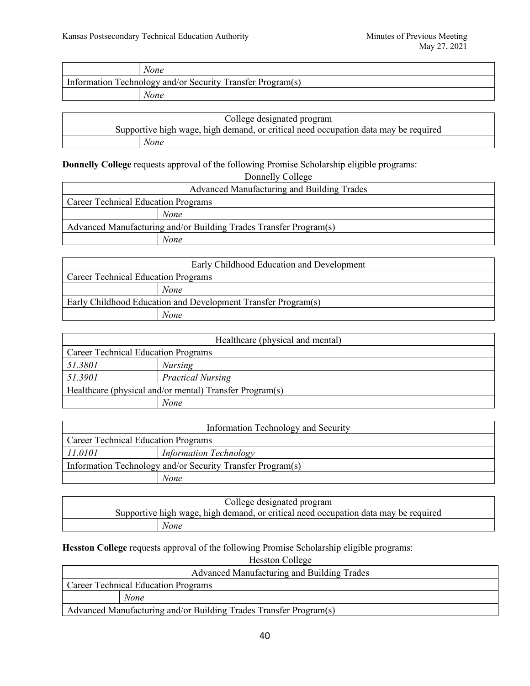|                                                            | None |
|------------------------------------------------------------|------|
| Information Technology and/or Security Transfer Program(s) |      |
|                                                            | None |
|                                                            |      |

| College designated program |                                                                                     |
|----------------------------|-------------------------------------------------------------------------------------|
|                            | Supportive high wage, high demand, or critical need occupation data may be required |
|                            | None                                                                                |

**Donnelly College** requests approval of the following Promise Scholarship eligible programs:

| Donnelly College                                                  |      |  |
|-------------------------------------------------------------------|------|--|
| Advanced Manufacturing and Building Trades                        |      |  |
| <b>Career Technical Education Programs</b>                        |      |  |
|                                                                   | None |  |
| Advanced Manufacturing and/or Building Trades Transfer Program(s) |      |  |
|                                                                   | None |  |
|                                                                   |      |  |

| Early Childhood Education and Development                     |      |
|---------------------------------------------------------------|------|
| <b>Career Technical Education Programs</b>                    |      |
|                                                               | None |
| Early Childhood Education and Development Transfer Program(s) |      |
|                                                               | None |

| Healthcare (physical and mental)                        |                          |  |
|---------------------------------------------------------|--------------------------|--|
| <b>Career Technical Education Programs</b>              |                          |  |
| 51.3801                                                 | <b>Nursing</b>           |  |
| 51.3901                                                 | <b>Practical Nursing</b> |  |
| Healthcare (physical and/or mental) Transfer Program(s) |                          |  |
|                                                         | None                     |  |

| Information Technology and Security                        |                               |
|------------------------------------------------------------|-------------------------------|
| <b>Career Technical Education Programs</b>                 |                               |
| 11.0101                                                    | <b>Information Technology</b> |
| Information Technology and/or Security Transfer Program(s) |                               |
|                                                            | None                          |

| College designated program |                                                                                     |
|----------------------------|-------------------------------------------------------------------------------------|
|                            | Supportive high wage, high demand, or critical need occupation data may be required |
|                            | None                                                                                |

**Hesston College** requests approval of the following Promise Scholarship eligible programs:

Hesston College

| Advanced Manufacturing and Building Trades                        |  |
|-------------------------------------------------------------------|--|
| <b>Career Technical Education Programs</b>                        |  |
| None                                                              |  |
| Advanced Manufacturing and/or Building Trades Transfer Program(s) |  |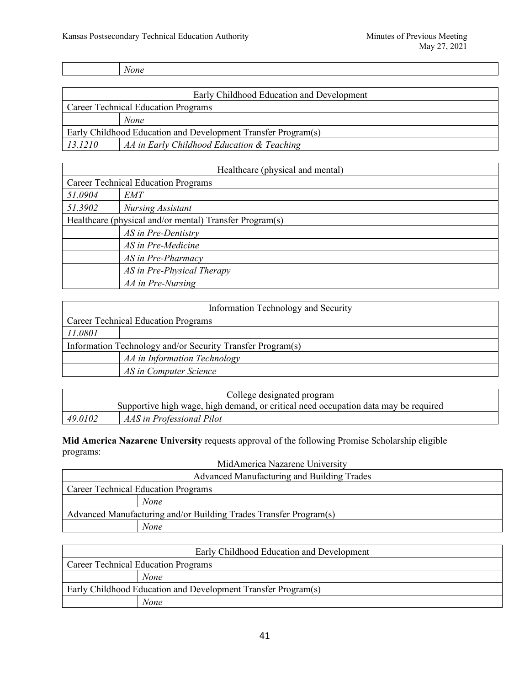*None*

| Early Childhood Education and Development                     |                                            |
|---------------------------------------------------------------|--------------------------------------------|
| <b>Career Technical Education Programs</b>                    |                                            |
|                                                               | None                                       |
| Early Childhood Education and Development Transfer Program(s) |                                            |
| 13.1210                                                       | AA in Early Childhood Education & Teaching |

| Healthcare (physical and mental)                        |                            |
|---------------------------------------------------------|----------------------------|
| <b>Career Technical Education Programs</b>              |                            |
| 51.0904                                                 | EMT                        |
| 51.3902                                                 | Nursing Assistant          |
| Healthcare (physical and/or mental) Transfer Program(s) |                            |
|                                                         | AS in Pre-Dentistry        |
|                                                         | AS in Pre-Medicine         |
|                                                         | AS in Pre-Pharmacy         |
|                                                         | AS in Pre-Physical Therapy |
|                                                         | AA in Pre-Nursing          |

| Information Technology and Security                        |                              |  |  |
|------------------------------------------------------------|------------------------------|--|--|
| <b>Career Technical Education Programs</b>                 |                              |  |  |
| 11.0801                                                    |                              |  |  |
| Information Technology and/or Security Transfer Program(s) |                              |  |  |
|                                                            | AA in Information Technology |  |  |
|                                                            | AS in Computer Science       |  |  |

| College designated program                                                          |                           |  |
|-------------------------------------------------------------------------------------|---------------------------|--|
| Supportive high wage, high demand, or critical need occupation data may be required |                           |  |
| 49.0102                                                                             | AAS in Professional Pilot |  |

**Mid America Nazarene University** requests approval of the following Promise Scholarship eligible programs: MidAmerica Nazarene University

| MidAmerica Nazarene University                                    |  |  |
|-------------------------------------------------------------------|--|--|
| Advanced Manufacturing and Building Trades                        |  |  |
| <b>Career Technical Education Programs</b>                        |  |  |
| None                                                              |  |  |
| Advanced Manufacturing and/or Building Trades Transfer Program(s) |  |  |
| None                                                              |  |  |

| Early Childhood Education and Development                     |      |  |
|---------------------------------------------------------------|------|--|
| <b>Career Technical Education Programs</b>                    |      |  |
|                                                               | None |  |
| Early Childhood Education and Development Transfer Program(s) |      |  |
|                                                               | None |  |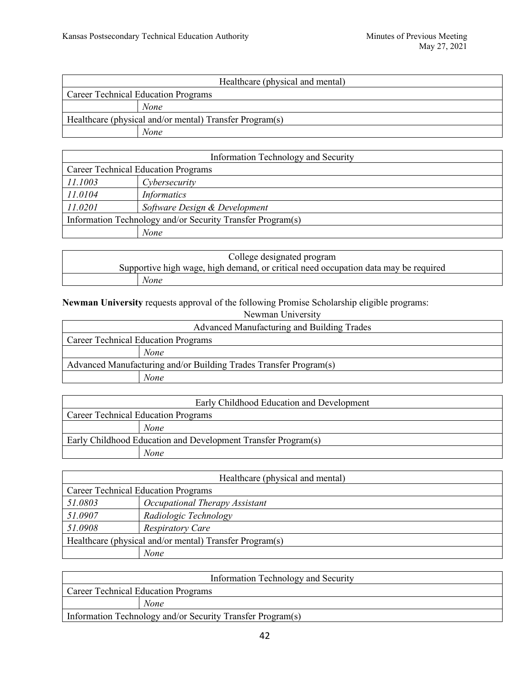| Healthcare (physical and mental)                        |             |  |
|---------------------------------------------------------|-------------|--|
| <b>Career Technical Education Programs</b>              |             |  |
|                                                         | <b>None</b> |  |
| Healthcare (physical and/or mental) Transfer Program(s) |             |  |
|                                                         | None        |  |

| Information Technology and Security                        |                               |  |
|------------------------------------------------------------|-------------------------------|--|
| <b>Career Technical Education Programs</b>                 |                               |  |
| 11.1003                                                    | Cybersecurity                 |  |
| 11.0104                                                    | <b>Informatics</b>            |  |
| 11.0201                                                    | Software Design & Development |  |
| Information Technology and/or Security Transfer Program(s) |                               |  |
|                                                            | None                          |  |

| College designated program |                                                                                     |
|----------------------------|-------------------------------------------------------------------------------------|
|                            | Supportive high wage, high demand, or critical need occupation data may be required |
|                            | None                                                                                |

#### **Newman University requests approval of the following Promise Scholarship eligible programs:** Newman University

| Newman University                                                 |  |
|-------------------------------------------------------------------|--|
| Advanced Manufacturing and Building Trades                        |  |
| <b>Career Technical Education Programs</b>                        |  |
| None                                                              |  |
| Advanced Manufacturing and/or Building Trades Transfer Program(s) |  |
| None                                                              |  |

| Early Childhood Education and Development                     |      |  |
|---------------------------------------------------------------|------|--|
| <b>Career Technical Education Programs</b>                    |      |  |
|                                                               | None |  |
| Early Childhood Education and Development Transfer Program(s) |      |  |
|                                                               | None |  |

| Healthcare (physical and mental)                        |                                |  |
|---------------------------------------------------------|--------------------------------|--|
| <b>Career Technical Education Programs</b>              |                                |  |
| 51.0803                                                 | Occupational Therapy Assistant |  |
| 51.0907                                                 | Radiologic Technology          |  |
| 51.0908                                                 | <b>Respiratory Care</b>        |  |
| Healthcare (physical and/or mental) Transfer Program(s) |                                |  |
|                                                         | None                           |  |

| Information Technology and Security                        |  |  |
|------------------------------------------------------------|--|--|
| <b>Career Technical Education Programs</b>                 |  |  |
| None                                                       |  |  |
| Information Technology and/or Security Transfer Program(s) |  |  |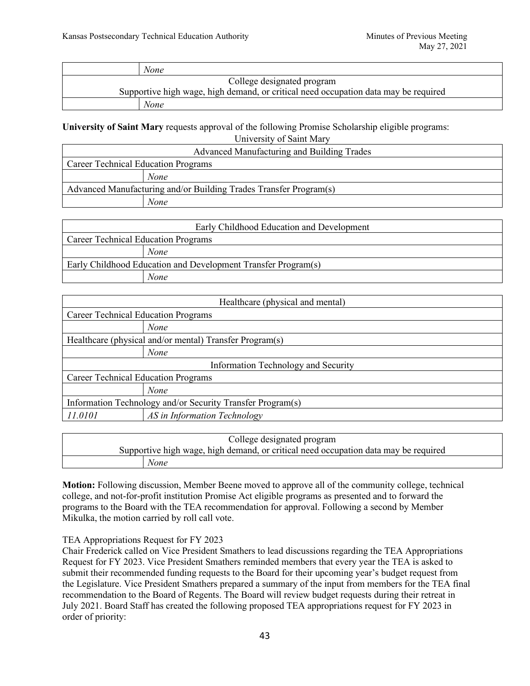|                                                                                     | None                       |
|-------------------------------------------------------------------------------------|----------------------------|
|                                                                                     | College designated program |
| Supportive high wage, high demand, or critical need occupation data may be required |                            |
|                                                                                     | None                       |

**University of Saint Mary** requests approval of the following Promise Scholarship eligible programs:

University of Saint Mary

| Advanced Manufacturing and Building Trades                        |      |  |
|-------------------------------------------------------------------|------|--|
| <b>Career Technical Education Programs</b>                        |      |  |
|                                                                   | None |  |
| Advanced Manufacturing and/or Building Trades Transfer Program(s) |      |  |
|                                                                   | None |  |
|                                                                   |      |  |

| Early Childhood Education and Development                     |      |  |
|---------------------------------------------------------------|------|--|
| <b>Career Technical Education Programs</b>                    |      |  |
|                                                               | None |  |
| Early Childhood Education and Development Transfer Program(s) |      |  |
|                                                               | None |  |

| Healthcare (physical and mental)                           |                              |  |
|------------------------------------------------------------|------------------------------|--|
| <b>Career Technical Education Programs</b>                 |                              |  |
|                                                            | None                         |  |
| Healthcare (physical and/or mental) Transfer Program(s)    |                              |  |
|                                                            | None                         |  |
| Information Technology and Security                        |                              |  |
| <b>Career Technical Education Programs</b>                 |                              |  |
|                                                            | None                         |  |
| Information Technology and/or Security Transfer Program(s) |                              |  |
| 11.0101                                                    | AS in Information Technology |  |

| College designated program                                                          |  |  |
|-------------------------------------------------------------------------------------|--|--|
| Supportive high wage, high demand, or critical need occupation data may be required |  |  |
| None                                                                                |  |  |

**Motion:** Following discussion, Member Beene moved to approve all of the community college, technical college, and not-for-profit institution Promise Act eligible programs as presented and to forward the programs to the Board with the TEA recommendation for approval. Following a second by Member Mikulka, the motion carried by roll call vote.

### TEA Appropriations Request for FY 2023

Chair Frederick called on Vice President Smathers to lead discussions regarding the TEA Appropriations Request for FY 2023. Vice President Smathers reminded members that every year the TEA is asked to submit their recommended funding requests to the Board for their upcoming year's budget request from the Legislature. Vice President Smathers prepared a summary of the input from members for the TEA final recommendation to the Board of Regents. The Board will review budget requests during their retreat in July 2021. Board Staff has created the following proposed TEA appropriations request for FY 2023 in order of priority: